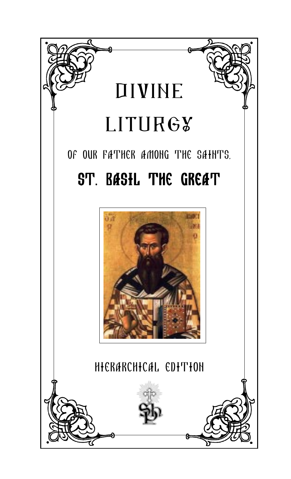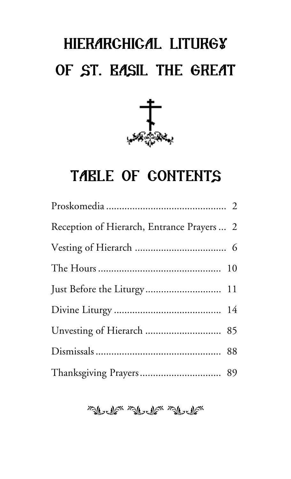# HIERARCHICAL LITURGY OF ST. BASIL THE GREAT



## TABLE OF CONTENTS

| Reception of Hierarch, Entrance Prayers  2 |  |
|--------------------------------------------|--|
|                                            |  |
|                                            |  |
|                                            |  |
|                                            |  |
|                                            |  |
|                                            |  |
|                                            |  |

TU JE "SU JE" "SU JE"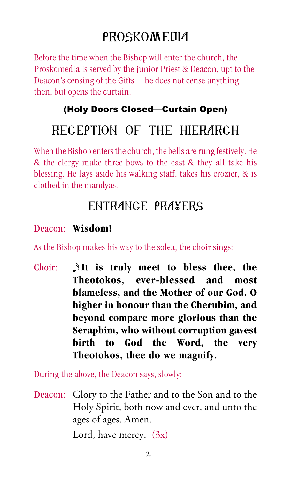## PROSKOMEDIA

Before the time when the Bishop will enter the church, the Proskomedia is served by the junior Priest & Deacon, upt to the Deacon's censing of the Gifts—he does not cense anything then, but opens the curtain.

## (Holy Doors Closed—Curtain Open)

## RECEPTION OF THE HIERARCH

When the Bishop enters the church, the bells are rung festively. He & the clergy make three bows to the east & they all take his blessing. He lays aside his walking staff, takes his crozier, & is clothed in the mandyas.

## ENTRANCE PRAYERS

## Deacon: **Wisdom!**

As the Bishop makes his way to the solea, the choir sings:

Choir: x **It is truly meet to bless thee, the Theotokos, ever-blessed and most blameless, and the Mother of our God. O higher in honour than the Cherubim, and beyond compare more glorious than the Seraphim, who without corruption gavest birth to God the Word, the very Theotokos, thee do we magnify.**

During the above, the Deacon says, slowly:

Deacon: Glory to the Father and to the Son and to the Holy Spirit, both now and ever, and unto the ages of ages. Amen.

Lord, have mercy.  $(3x)$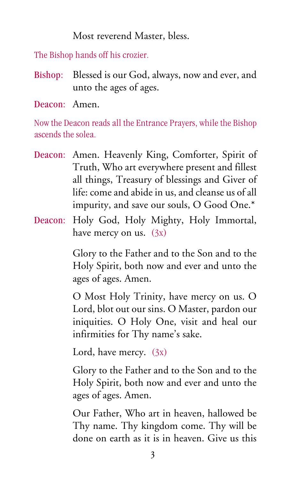Most reverend Master, bless.

The Bishop hands off his crozier.

- Bishop: Blessed is our God, always, now and ever, and unto the ages of ages.
- Deacon: Amen.

Now the Deacon reads all the Entrance Prayers, while the Bishop ascends the solea.

- Deacon: Amen. Heavenly King, Comforter, Spirit of Truth, Who art everywhere present and fillest all things, Treasury of blessings and Giver of life: come and abide in us, and cleanse us of all impurity, and save our souls, O Good One.\*
- Deacon: Holy God, Holy Mighty, Holy Immortal, have mercy on us.  $(3x)$

Glory to the Father and to the Son and to the Holy Spirit, both now and ever and unto the ages of ages. Amen.

O Most Holy Trinity, have mercy on us. O Lord, blot out our sins. O Master, pardon our iniquities. O Holy One, visit and heal our infirmities for Thy name's sake.

Lord, have mercy. (3x)

Glory to the Father and to the Son and to the Holy Spirit, both now and ever and unto the ages of ages. Amen.

Our Father, Who art in heaven, hallowed be Thy name. Thy kingdom come. Thy will be done on earth as it is in heaven. Give us this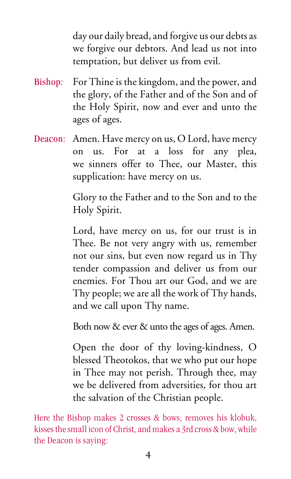day our daily bread, and forgive us our debts as we forgive our debtors. And lead us not into temptation, but deliver us from evil.

- Bishop: For Thine is the kingdom, and the power, and the glory, of the Father and of the Son and of the Holy Spirit, now and ever and unto the ages of ages.
- Deacon: Amen. Have mercy on us, O Lord, have mercy on us. For at a loss for any plea, we sinners offer to Thee, our Master, this supplication: have mercy on us.

Glory to the Father and to the Son and to the Holy Spirit.

Lord, have mercy on us, for our trust is in Thee. Be not very angry with us, remember not our sins, but even now regard us in Thy tender compassion and deliver us from our enemies. For Thou art our God, and we are Thy people; we are all the work of Thy hands, and we call upon Thy name.

Both now & ever & unto the ages of ages. Amen.

Open the door of thy loving-kindness, O blessed Theotokos, that we who put our hope in Thee may not perish. Through thee, may we be delivered from adversities, for thou art the salvation of the Christian people.

Here the Bishop makes 2 crosses & bows, removes his klobuk, kisses the small icon of Christ, and makes a 3rd cross & bow, while the Deacon is saying: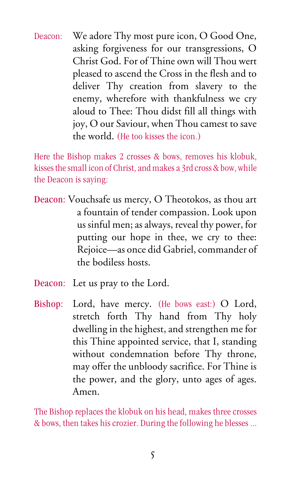Deacon: We adore Thy most pure icon, O Good One, asking forgiveness for our transgressions, O Christ God. For of Thine own will Thou wert pleased to ascend the Cross in the flesh and to deliver Thy creation from slavery to the enemy, wherefore with thankfulness we cry aloud to Thee: Thou didst fill all things with joy, O our Saviour, when Thou camest to save the world. (He too kisses the icon.)

Here the Bishop makes 2 crosses & bows, removes his klobuk, kisses the small icon of Christ, and makes a 3rd cross & bow, while the Deacon is saying:

- Deacon: Vouchsafe us mercy, O Theotokos, as thou art a fountain of tender compassion. Look upon us sinful men; as always, reveal thy power, for putting our hope in thee, we cry to thee: Rejoice—as once did Gabriel, commander of the bodiless hosts.
- Deacon: Let us pray to the Lord.
- Bishop: Lord, have mercy. (He bows east:) O Lord, stretch forth Thy hand from Thy holy dwelling in the highest, and strengthen me for this Thine appointed service, that I, standing without condemnation before Thy throne, may offer the unbloody sacrifice. For Thine is the power, and the glory, unto ages of ages. Amen.

The Bishop replaces the klobuk on his head, makes three crosses & bows, then takes his crozier. During the following he blesses ...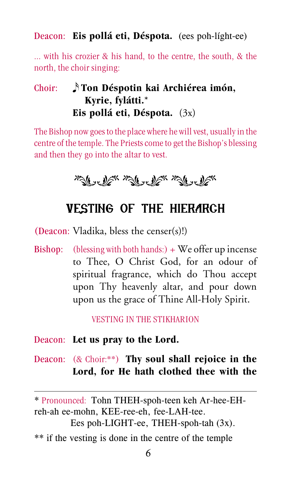### Deacon: **Eis pollá eti, Déspota.** (ees poh-líght-ee)

... with his crozier & his hand, to the centre, the south, & the north, the choir singing:

## Choir: x **Ton Déspotin kai Archiérea imón, Kyrie, fylátti.**\* **Eis pollá eti, Déspota.** (3x)

The Bishop now goes to the place where he will vest, usually in the centre of the temple. The Priests come to get the Bishop's blessing and then they go into the altar to vest.

29 GH 29 GH GH GH GH

## VESTING OF THE HIERARCH

(Deacon: Vladika, bless the censer(s)!)

Bishop: (blessing with both hands:)  $+$  We offer up incense to Thee, O Christ God, for an odour of spiritual fragrance, which do Thou accept upon Thy heavenly altar, and pour down upon us the grace of Thine All-Holy Spirit.

VESTING IN THE STIKHARION

- Deacon: **Let us pray to the Lord.**
- Deacon: (& Choir:\*\*) **Thy soul shall rejoice in the Lord, for He hath clothed thee with the**

\*\* if the vesting is done in the centre of the temple

<sup>\*</sup> Pronounced: Tohn THEH-spoh-teen keh Ar-hee-EHreh-ah ee-mohn, KEE-ree-eh, fee-LAH-tee. Ees poh-LIGHT-ee, THEH-spoh-tah (3x).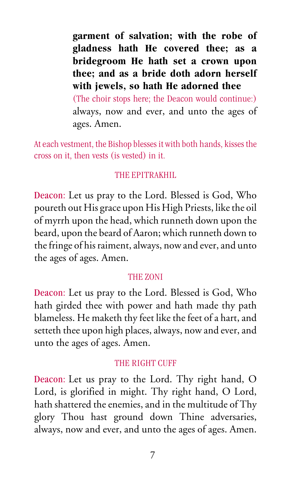**garment of salvation; with the robe of gladness hath He covered thee; as a bridegroom He hath set a crown upon thee; and as a bride doth adorn herself with jewels, so hath He adorned thee**

(The choir stops here; the Deacon would continue:) always, now and ever, and unto the ages of ages. Amen.

At each vestment, the Bishop blesses it with both hands, kisses the cross on it, then vests (is vested) in it.

#### THE EPITRAKHIL

Deacon: Let us pray to the Lord. Blessed is God, Who poureth out His grace upon His High Priests, like the oil of myrrh upon the head, which runneth down upon the beard, upon the beard of Aaron; which runneth down to the fringe of his raiment, always, now and ever, and unto the ages of ages. Amen.

#### THE ZONI

Deacon: Let us pray to the Lord. Blessed is God, Who hath girded thee with power and hath made thy path blameless. He maketh thy feet like the feet of a hart, and setteth thee upon high places, always, now and ever, and unto the ages of ages. Amen.

### THE RIGHT CUFF

Deacon: Let us pray to the Lord. Thy right hand, O Lord, is glorified in might. Thy right hand, O Lord, hath shattered the enemies, and in the multitude of Thy glory Thou hast ground down Thine adversaries, always, now and ever, and unto the ages of ages. Amen.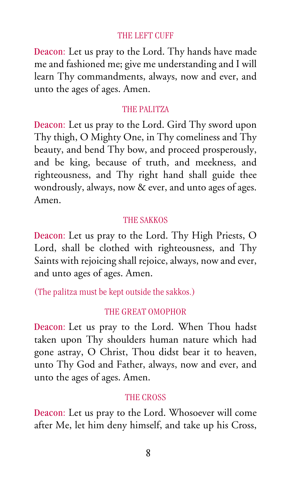#### THE LEFT CUFF

Deacon: Let us pray to the Lord. Thy hands have made me and fashioned me; give me understanding and I will learn Thy commandments, always, now and ever, and unto the ages of ages. Amen.

#### THE PALITZA

Deacon: Let us pray to the Lord. Gird Thy sword upon Thy thigh, O Mighty One, in Thy comeliness and Thy beauty, and bend Thy bow, and proceed prosperously, and be king, because of truth, and meekness, and righteousness, and Thy right hand shall guide thee wondrously, always, now & ever, and unto ages of ages. Amen.

#### THE SAKKOS

Deacon: Let us pray to the Lord. Thy High Priests, O Lord, shall be clothed with righteousness, and Thy Saints with rejoicing shall rejoice, always, now and ever, and unto ages of ages. Amen.

(The palitza must be kept outside the sakkos.)

#### THE GREAT OMOPHOR

Deacon: Let us pray to the Lord. When Thou hadst taken upon Thy shoulders human nature which had gone astray, O Christ, Thou didst bear it to heaven, unto Thy God and Father, always, now and ever, and unto the ages of ages. Amen.

#### THE CROSS

Deacon: Let us pray to the Lord. Whosoever will come after Me, let him deny himself, and take up his Cross,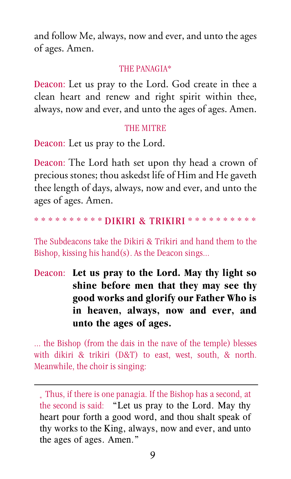and follow Me, always, now and ever, and unto the ages of ages. Amen.

#### THE PANAGIA\*

Deacon: Let us pray to the Lord. God create in thee a clean heart and renew and right spirit within thee, always, now and ever, and unto the ages of ages. Amen.

#### THE MITRE

Deacon: Let us pray to the Lord.

Deacon: The Lord hath set upon thy head a crown of precious stones; thou askedst life of Him and He gaveth thee length of days, always, now and ever, and unto the ages of ages. Amen.

\* \* \* \* \* \* \* \* \* \* DIKIRI & TRIKIRI \* \* \* \* \* \* \* \* \* \* \*

The Subdeacons take the Dikiri & Trikiri and hand them to the Bishop, kissing his hand $(s)$ . As the Deacon sings...

Deacon: **Let us pray to the Lord. May thy light so shine before men that they may see thy good works and glorify our Father Who is in heaven, always, now and ever, and unto the ages of ages.**

... the Bishop (from the dais in the nave of the temple) blesses with dikiri & trikiri (D&T) to east, west, south, & north. Meanwhile, the choir is singing:

<sup>.</sup> Thus, if there is one panagia. If the Bishop has a second, at the second is said: "Let us pray to the Lord. May thy heart pour forth a good word, and thou shalt speak of thy works to the King, always, now and ever, and unto the ages of ages. Amen."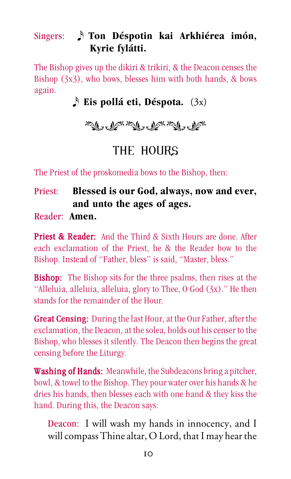## Singers: x **Ton Déspotin kai Arkhiérea imón, Kyrie fylátti.**

The Bishop gives up the dikiri & trikiri, & the Deacon censes the Bishop (3x3), who bows, blesses him with both hands, & bows again.

x **Eis pollá eti, Déspota.** (3x)

296 JE 296 Af 296 A

## THE HOURS

The Priest of the proskomedia bows to the Bishop, then:

## Priest: **Blessed is our God, always, now and ever, and unto the ages of ages.**

Reader: **Amen.**

**Priest & Reader:** And the Third & Sixth Hours are done. After each exclamation of the Priest, he & the Reader bow to the Bishop. Instead of "Father, bless" is said, "Master, bless."

**Bishop:** The Bishop sits for the three psalms, then rises at the "Alleluia, alleluia, alleluia, glory to Thee, O God (3x)." He then stands for the remainder of the Hour.

Great Censing: During the last Hour, at the Our Father, after the exclamation, the Deacon, at the solea, holds out his censer to the Bishop, who blesses it silently. The Deacon then begins the great censing before the Liturgy.

**Washing of Hands:** Meanwhile, the Subdeacons bring a pitcher, bowl, & towel to the Bishop. They pour water over his hands & he dries his hands, then blesses each with one hand & they kiss the hand. During this, the Deacon says:

Deacon: I will wash my hands in innocency, and I will compass Thine altar, O Lord, that I may hear the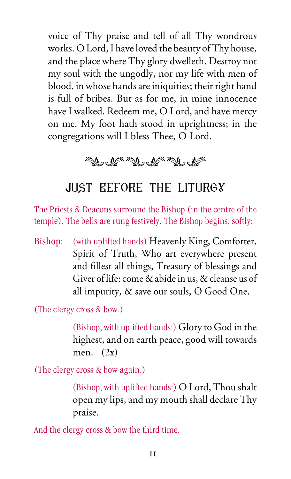voice of Thy praise and tell of all Thy wondrous works. O Lord, I have loved the beauty of Thy house, and the place where Thy glory dwelleth. Destroy not my soul with the ungodly, nor my life with men of blood, in whose hands are iniquities; their right hand is full of bribes. But as for me, in mine innocence have I walked. Redeem me, O Lord, and have mercy on me. My foot hath stood in uprightness; in the congregations will I bless Thee, O Lord.

ESA JE VER ESA JE VER ESA JE VER

## JUST BEFORE THE LITURGY

The Priests & Deacons surround the Bishop (in the centre of the temple). The bells are rung festively. The Bishop begins, softly:

Bishop: (with uplifted hands) Heavenly King, Comforter, Spirit of Truth, Who art everywhere present and fillest all things, Treasury of blessings and Giver of life: come & abide in us, & cleanse us of all impurity, & save our souls, O Good One.

(The clergy cross & bow.)

(Bishop, with uplifted hands:) Glory to God in the highest, and on earth peace, good will towards men.  $(2x)$ 

(The clergy cross & bow again.)

(Bishop, with uplifted hands:) O Lord, Thou shalt open my lips, and my mouth shall declare Thy praise.

And the clergy cross & bow the third time.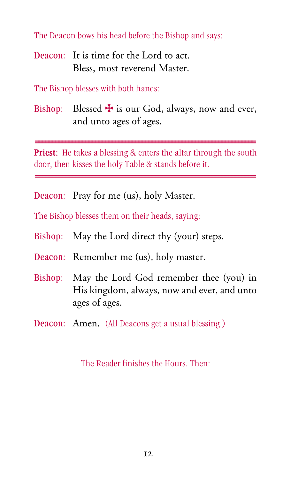The Deacon bows his head before the Bishop and says:

Deacon: It is time for the Lord to act. Bless, most reverend Master.

The Bishop blesses with both hands:

Bishop: Blessed  $\bigstar$  is our God, always, now and ever, and unto ages of ages.

================================================================== **Priest:** He takes a blessing & enters the altar through the south door, then kisses the holy Table & stands before it. ==================================================================

Deacon: Pray for me (us), holy Master.

The Bishop blesses them on their heads, saying:

- Bishop: May the Lord direct thy (your) steps.
- Deacon: Remember me (us), holy master.
- Bishop: May the Lord God remember thee (you) in His kingdom, always, now and ever, and unto ages of ages.
- Deacon: Amen. (All Deacons get a usual blessing.)

The Reader finishes the Hours. Then: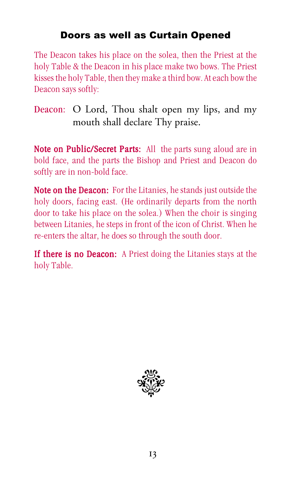## Doors as well as Curtain Opened

The Deacon takes his place on the solea, then the Priest at the holy Table & the Deacon in his place make two bows. The Priest kisses the holy Table, then they make a third bow. At each bow the Deacon says softly:

Deacon: O Lord, Thou shalt open my lips, and my mouth shall declare Thy praise.

Note on Public/Secret Parts: All the parts sung aloud are in bold face, and the parts the Bishop and Priest and Deacon do softly are in non-bold face.

Note on the Deacon: For the Litanies, he stands just outside the holy doors, facing east. (He ordinarily departs from the north door to take his place on the solea.) When the choir is singing between Litanies, he steps in front of the icon of Christ. When he re-enters the altar, he does so through the south door.

If there is no Deacon: A Priest doing the Litanies stays at the holy Table.

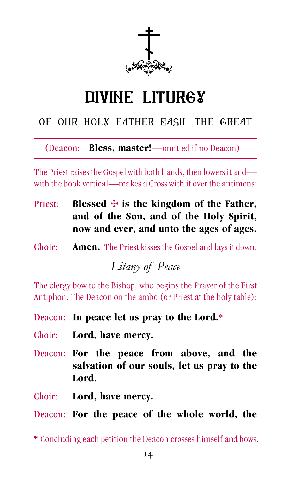

# DIVINE LITURGY

## OF OUR HOLY FATHER BASIL THE GREAT

(Deacon: **Bless, master!**—omitted if no Deacon)

The Priest raises the Gospel with both hands, then lowers it and with the book vertical—makes a Cross with it over the antimens:

Priest: **Blessed**  $\div$  **is the kingdom of the Father, and of the Son, and of the Holy Spirit, now and ever, and unto the ages of ages.**

Choir: **Amen.** The Priest kisses the Gospel and lays it down.

## Litany of Peace

The clergy bow to the Bishop, who begins the Prayer of the First Antiphon. The Deacon on the ambo (or Priest at the holy table):

- Deacon: **In peace let us pray to the Lord.\***
- Choir: **Lord, have mercy.**
- Deacon: **For the peace from above, and the salvation of our souls, let us pray to the Lord.**
- Choir: **Lord, have mercy.**

Deacon: **For the peace of the whole world, the**

<sup>\*</sup> Concluding each petition the Deacon crosses himself and bows. \*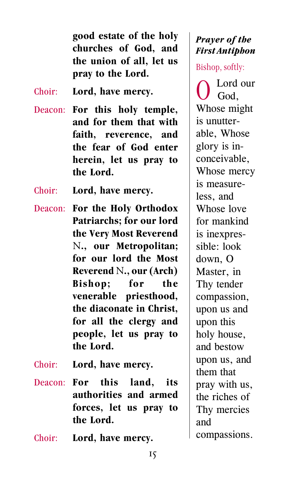**good estate of the holy churches of God, and the union of all, let us pray to the Lord.**

- Choir: **Lord, have mercy.**
- Deacon: **For this holy temple, and for them that with faith, reverence, and the fear of God enter herein, let us pray to the Lord.**
- Choir: **Lord, have mercy.**
- Deacon: **For the Holy Orthodox Patriarchs; for our lord the Very Most Reverend** N**., our Metropolitan; for our lord the Most Reverend** N**., our (Arch) Bishop; for the venerable priesthood, the diaconate in Christ, for all the clergy and people, let us pray to the Lord.**
- Choir: **Lord, have mercy.**
- Deacon: **For this land, its authorities and armed forces, let us pray to the Lord.**
- Choir: **Lord, have mercy.**

## *Prayer of the First Antiphon*

Bishop, softly:

Lord our God, Whose might is unutterable, Whose glory is inconceivable, Whose mercy is measureless, and Whose love for mankind is inexpressible: look down, O Master, in Thy tender compassion, upon us and upon this holy house, and bestow upon us, and them that pray with us, the riches of Thy mercies and compassions.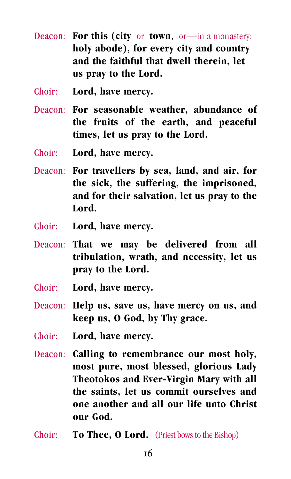- Deacon: **For this (city** or **town**, or—in a monastery: **holy abode), for every city and country and the faithful that dwell therein, let us pray to the Lord.**
- Choir: **Lord, have mercy.**
- Deacon: **For seasonable weather, abundance of the fruits of the earth, and peaceful times, let us pray to the Lord.**
- Choir: **Lord, have mercy.**
- Deacon: **For travellers by sea, land, and air, for the sick, the suffering, the imprisoned, and for their salvation, let us pray to the Lord.**
- Choir: **Lord, have mercy.**
- Deacon: **That we may be delivered from all tribulation, wrath, and necessity, let us pray to the Lord.**
- Choir: **Lord, have mercy.**
- Deacon: **Help us, save us, have mercy on us, and keep us, O God, by Thy grace.**
- Choir: **Lord, have mercy.**
- Deacon: **Calling to remembrance our most holy, most pure, most blessed, glorious Lady Theotokos and Ever-Virgin Mary with all the saints, let us commit ourselves and one another and all our life unto Christ our God.**
- Choir: **To Thee, O Lord.** (Priest bows to the Bishop)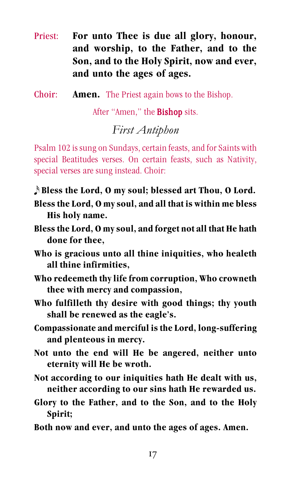Priest: **For unto Thee is due all glory, honour, and worship, to the Father, and to the Son, and to the Holy Spirit, now and ever, and unto the ages of ages.**

Choir: **Amen.** The Priest again bows to the Bishop.

After "Amen," the **Bishop** sits.

## First Antiphon

Psalm 102 is sung on Sundays, certain feasts, and for Saints with special Beatitudes verses. On certain feasts, such as Nativity, special verses are sung instead. Choir:

x **Bless the Lord, O my soul; blessed art Thou, O Lord.**

- **Bless the Lord, O my soul, and all that is within me bless His holy name.**
- **Bless the Lord, O my soul, and forget not all that He hath done for thee,**
- **Who is gracious unto all thine iniquities, who healeth all thine infirmities,**
- **Who redeemeth thy life from corruption, Who crowneth thee with mercy and compassion,**
- **Who fulfilleth thy desire with good things; thy youth shall be renewed as the eagle's.**
- **Compassionate and merciful is the Lord, long-suffering and plenteous in mercy.**
- **Not unto the end will He be angered, neither unto eternity will He be wroth.**
- **Not according to our iniquities hath He dealt with us, neither according to our sins hath He rewarded us.**
- **Glory to the Father, and to the Son, and to the Holy Spirit;**
- **Both now and ever, and unto the ages of ages. Amen.**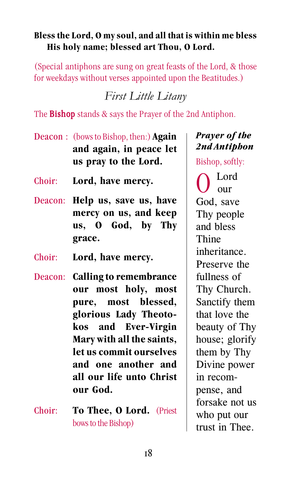#### **Bless the Lord, O my soul, and all that is within me bless His holy name; blessed art Thou, O Lord.**

(Special antiphons are sung on great feasts of the Lord, & those for weekdays without verses appointed upon the Beatitudes.)

First Little Litany

The Bishop stands & says the Prayer of the 2nd Antiphon.

- Deacon : (bows to Bishop, then:) **Again and again, in peace let us pray to the Lord.**
- Choir: **Lord, have mercy.**
- Deacon: **Help us, save us, have mercy on us, and keep us, O God, by Thy grace.**
- Choir: **Lord, have mercy.**
- Deacon: **Calling to remembrance our most holy, most pure, most blessed, glorious Lady Theotokos and Ever-Virgin Mary with all the saints, let us commit ourselves and one another and all our life unto Christ our God.**
- Choir: **To Thee, O Lord.** (Priest bows to the Bishop)

*Prayer of the 2nd Antiphon*

Bishop, softly:

Lord our God, save Thy people and bless Thine inheritance. Preserve the fullness of Thy Church. Sanctify them that love the beauty of Thy house; glorify them by Thy Divine power in recompense, and forsake not us who put our trust in Thee.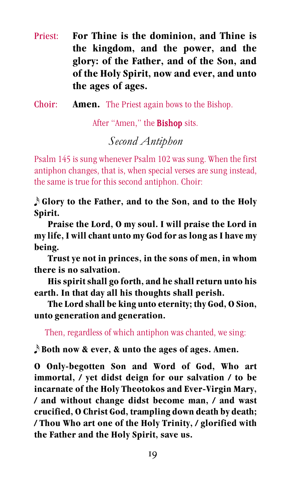Priest: **For Thine is the dominion, and Thine is the kingdom, and the power, and the glory: of the Father, and of the Son, and of the Holy Spirit, now and ever, and unto the ages of ages.**

Choir: **Amen.** The Priest again bows to the Bishop.

After "Amen," the Bishop sits.

## Second Antiphon

Psalm 145 is sung whenever Psalm 102 was sung. When the first antiphon changes, that is, when special verses are sung instead, the same is true for this second antiphon. Choir:

x **Glory to the Father, and to the Son, and to the Holy Spirit.**

**Praise the Lord, O my soul. I will praise the Lord in my life, I will chant unto my God for as long as I have my being.**

**Trust ye not in princes, in the sons of men, in whom there is no salvation.**

**His spirit shall go forth, and he shall return unto his earth. In that day all his thoughts shall perish.**

**The Lord shall be king unto eternity; thy God, O Sion, unto generation and generation.**

Then, regardless of which antiphon was chanted, we sing:

x **Both now & ever, & unto the ages of ages. Amen.**

**O Only-begotten Son and Word of God, Who art immortal, / yet didst deign for our salvation / to be incarnate of the Holy Theotokos and Ever-Virgin Mary, / and without change didst become man, / and wast crucified, O Christ God, trampling down death by death; / Thou Who art one of the Holy Trinity, / glorified with the Father and the Holy Spirit, save us.**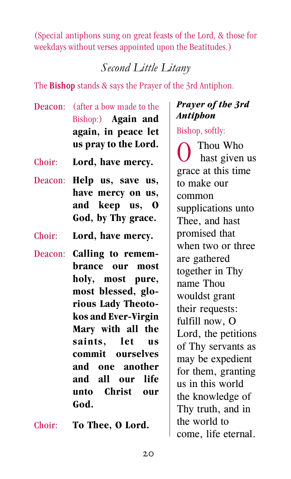(Special antiphons sung on great feasts of the Lord, & those for weekdays without verses appointed upon the Beatitudes.)

## Second Little Litany

#### The Bishop stands & says the Prayer of the 3rd Antiphon.

- Deacon: (after a bow made to the Bishop:) **Again and again, in peace let us pray to the Lord.**
- Choir: **Lord, have mercy.**
- Deacon: **Help us, save us, have mercy on us, and keep us, O God, by Thy grace.**
- Choir: **Lord, have mercy.**
- Deacon: **Calling to remembrance our most holy, most pure, most blessed, glorious Lady Theotokos and Ever-Virgin Mary with all the saints, let us commit ourselves and one another and all our life unto Christ our God.**
- Choir: **To Thee, O Lord.**

## *Prayer of the 3rd Antiphon*

Bishop, softly:

Thou Who hast given us grace at this time to make our common supplications unto Thee, and hast promised that when two or three are gathered together in Thy name Thou wouldst grant their requests: fulfill now, O Lord, the petitions of Thy servants as may be expedient for them, granting us in this world the knowledge of Thy truth, and in the world to come, life eternal.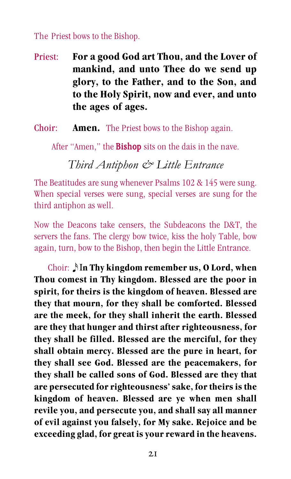#### The Priest bows to the Bishop.

Priest: **For a good God art Thou, and the Lover of mankind, and unto Thee do we send up glory, to the Father, and to the Son, and to the Holy Spirit, now and ever, and unto the ages of ages.**

Choir: **Amen.** The Priest bows to the Bishop again.

After "Amen," the **Bishop** sits on the dais in the nave.

Third Antiphon & Little Entrance

The Beatitudes are sung whenever Psalms 102 & 145 were sung. When special verses were sung, special verses are sung for the third antiphon as well.

Now the Deacons take censers, the Subdeacons the D&T, the servers the fans. The clergy bow twice, kiss the holy Table, bow again, turn, bow to the Bishop, then begin the Little Entrance.

Choir:  $\mathbb N$  In Thy kingdom remember us, O Lord, when **Thou comest in Thy kingdom. Blessed are the poor in spirit, for theirs is the kingdom of heaven. Blessed are they that mourn, for they shall be comforted. Blessed are the meek, for they shall inherit the earth. Blessed are they that hunger and thirst after righteousness, for they shall be filled. Blessed are the merciful, for they shall obtain mercy. Blessed are the pure in heart, for they shall see God. Blessed are the peacemakers, for they shall be called sons of God. Blessed are they that are persecuted for righteousness' sake, for theirs is the kingdom of heaven. Blessed are ye when men shall revile you, and persecute you, and shall say all manner of evil against you falsely, for My sake. Rejoice and be exceeding glad, for great is your reward in the heavens.**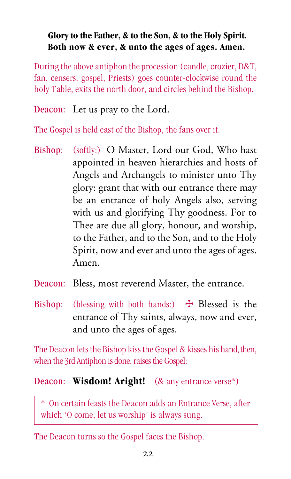#### **Glory to the Father, & to the Son, & to the Holy Spirit. Both now & ever, & unto the ages of ages. Amen.**

During the above antiphon the procession (candle, crozier, D&T, fan, censers, gospel, Priests) goes counter-clockwise round the holy Table, exits the north door, and circles behind the Bishop.

### Deacon: Let us pray to the Lord.

The Gospel is held east of the Bishop, the fans over it.

- Bishop: (softly:) O Master, Lord our God, Who hast appointed in heaven hierarchies and hosts of Angels and Archangels to minister unto Thy glory: grant that with our entrance there may be an entrance of holy Angels also, serving with us and glorifying Thy goodness. For to Thee are due all glory, honour, and worship, to the Father, and to the Son, and to the Holy Spirit, now and ever and unto the ages of ages. Amen.
- Deacon: Bless, most reverend Master, the entrance.
- Bishop: (blessing with both hands:)  $H$  Blessed is the entrance of Thy saints, always, now and ever, and unto the ages of ages.

The Deacon lets the Bishop kiss the Gospel & kisses his hand, then, when the 3rd Antiphon is done, raises the Gospel:

#### Deacon: **Wisdom! Aright!** (& any entrance verse\*)

\* On certain feasts the Deacon adds an Entrance Verse, after which 'O come, let us worship' is always sung.

The Deacon turns so the Gospel faces the Bishop.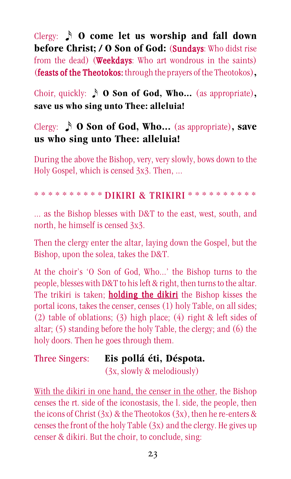Clergy:  $\triangle$  **O** come let us worship and fall down **before Christ; / O Son of God: (Sundays: Who didst rise)** from the dead) (**Weekdays**: Who art wondrous in the saints) (**feasts of the Theotokos**: through the prayers of the Theotokos),

Choir, quickly:  $\triangle$  **O** Son of God, Who... (as appropriate), **save us who sing unto Thee: alleluia!**

## Clergy:  $\triangle$  **O** Son of God, Who... (as appropriate), save **us who sing unto Thee: alleluia!**

During the above the Bishop, very, very slowly, bows down to the Holy Gospel, which is censed 3x3. Then, ...

### \* \* \* \* \* \* \* \* \* \* DIKIRI & TRIKIRI \* \* \* \* \* \* \* \* \* \* \*

... as the Bishop blesses with D&T to the east, west, south, and north, he himself is censed 3x3.

Then the clergy enter the altar, laying down the Gospel, but the Bishop, upon the solea, takes the D&T.

At the choir's 'O Son of God, Who...' the Bishop turns to the people, blesses with D&T to his left & right, then turns to the altar. The trikiri is taken; **holding the dikiri** the Bishop kisses the portal icons, takes the censer, censes (1) holy Table, on all sides; (2) table of oblations; (3) high place; (4) right & left sides of altar; (5) standing before the holy Table, the clergy; and (6) the holy doors. Then he goes through them.

# Three Singers: **Eis pollá éti, Déspota.**

(3x, slowly & melodiously)

With the dikiri in one hand, the censer in the other, the Bishop censes the rt. side of the iconostasis, the l. side, the people, then the icons of Christ  $(3x)$  & the Theotokos  $(3x)$ , then he re-enters & censes the front of the holy Table (3x) and the clergy. He gives up censer & dikiri. But the choir, to conclude, sing: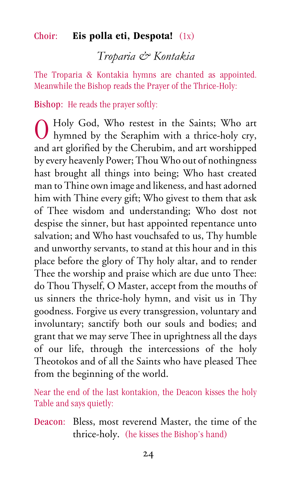#### Choir: **Eis polla eti, Despota!** (1x)

## Troparia & Kontakia

The Troparia & Kontakia hymns are chanted as appointed. Meanwhile the Bishop reads the Prayer of the Thrice-Holy:

Bishop: He reads the prayer softly:

O Holy God, Who restest in the Saints; Who art hymned by the Seraphim with a thrice-holy cry, and art glorified by the Cherubim, and art worshipped by every heavenly Power; Thou Who out of nothingness hast brought all things into being; Who hast created man to Thine own image and likeness, and hast adorned him with Thine every gift; Who givest to them that ask of Thee wisdom and understanding; Who dost not despise the sinner, but hast appointed repentance unto salvation; and Who hast vouchsafed to us, Thy humble and unworthy servants, to stand at this hour and in this place before the glory of Thy holy altar, and to render Thee the worship and praise which are due unto Thee: do Thou Thyself, O Master, accept from the mouths of us sinners the thrice-holy hymn, and visit us in Thy goodness. Forgive us every transgression, voluntary and involuntary; sanctify both our souls and bodies; and grant that we may serve Thee in uprightness all the days of our life, through the intercessions of the holy Theotokos and of all the Saints who have pleased Thee from the beginning of the world.

Near the end of the last kontakion, the Deacon kisses the holy Table and says quietly:

Deacon: Bless, most reverend Master, the time of the thrice-holy. (he kisses the Bishop's hand)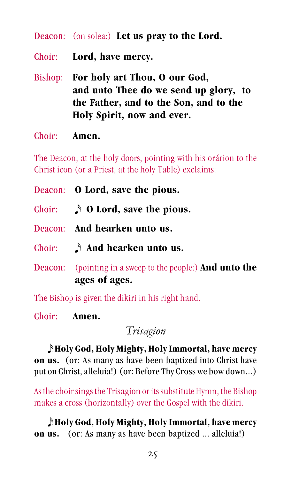Deacon: (on solea:) **Let us pray to the Lord.**

- Choir: **Lord, have mercy.**
- Bishop: **For holy art Thou, O our God, and unto Thee do we send up glory, to the Father, and to the Son, and to the Holy Spirit, now and ever.**
- Choir: **Amen.**

The Deacon, at the holy doors, pointing with his orárion to the Christ icon (or a Priest, at the holy Table) exclaims:

Deacon: **O Lord, save the pious.** Choir:  $\triangle$  **O** Lord, save the pious. Deacon: **And hearken unto us.** Choir:  $\qquad \qquad \mathbb{A}$  **And hearken unto us.** Deacon: (pointing in a sweep to the people:) **And unto the ages of ages.**

The Bishop is given the dikiri in his right hand.

Choir: **Amen.**

## Trisagion

x **Holy God, Holy Mighty, Holy Immortal, have mercy on us.** (or: As many as have been baptized into Christ have put on Christ, alleluia!) (or: Before Thy Cross we bow down...)

As the choir sings the Trisagion or its substitute Hymn, the Bishop makes a cross (horizontally) over the Gospel with the dikiri.

x **Holy God, Holy Mighty, Holy Immortal, have mercy on us.** (or: As many as have been baptized ... alleluia!)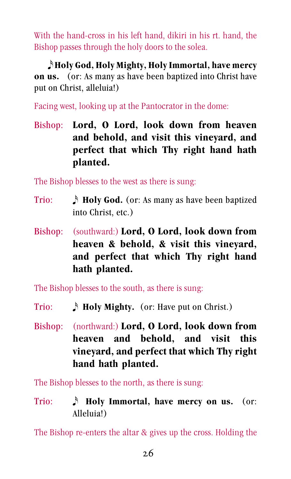With the hand-cross in his left hand, dikiri in his rt. hand, the Bishop passes through the holy doors to the solea.

x **Holy God, Holy Mighty, Holy Immortal, have mercy on us.** (or: As many as have been baptized into Christ have put on Christ, alleluia!)

Facing west, looking up at the Pantocrator in the dome:

Bishop: **Lord, O Lord, look down from heaven and behold, and visit this vineyard, and perfect that which Thy right hand hath planted.**

The Bishop blesses to the west as there is sung:

- Trio:  $\qquad \qquad \bullet$  **Holy God.** (or: As many as have been baptized into Christ, etc.)
- Bishop: (southward:) **Lord, O Lord, look down from heaven & behold, & visit this vineyard, and perfect that which Thy right hand hath planted.**

The Bishop blesses to the south, as there is sung:

- Trio:  $\qquad \qquad \bullet$  **Holy Mighty.** (or: Have put on Christ.)
- Bishop: (northward:) **Lord, O Lord, look down from heaven and behold, and visit this vineyard, and perfect that which Thy right hand hath planted.**

The Bishop blesses to the north, as there is sung:

Trio:  $\triangle$  **Holy Immortal, have mercy on us.** (or: Alleluia!)

The Bishop re-enters the altar & gives up the cross. Holding the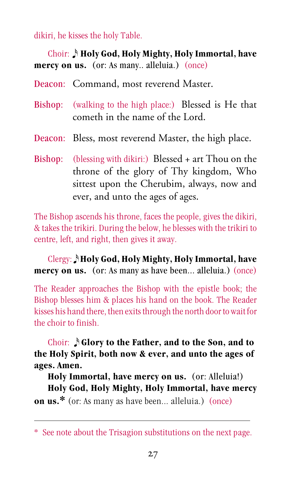dikiri, he kisses the holy Table.

Choir:  $\Lambda$  **Holy God, Holy Mighty, Holy Immortal, have mercy on us.** (or: As many.. alleluia.) (once)

Deacon: Command, most reverend Master.

- Bishop: (walking to the high place:) Blessed is He that cometh in the name of the Lord.
- Deacon: Bless, most reverend Master, the high place.
- Bishop: (blessing with dikiri:) Blessed + art Thou on the throne of the glory of Thy kingdom, Who sittest upon the Cherubim, always, now and ever, and unto the ages of ages.

The Bishop ascends his throne, faces the people, gives the dikiri, & takes the trikiri. During the below, he blesses with the trikiri to centre, left, and right, then gives it away.

Clergy:  $\Lambda$  **Holy God, Holy Mighty, Holy Immortal, have mercy on us.** (or: As many as have been... alleluia.) (once)

The Reader approaches the Bishop with the epistle book; the Bishop blesses him & places his hand on the book. The Reader kisses his hand there, then exits through the north door to wait for the choir to finish.

Choir:  $\triangle$  Glory to the Father, and to the Son, and to **the Holy Spirit, both now & ever, and unto the ages of ages. Amen.**

**Holy Immortal, have mercy on us.** (or: Alleluia!)

**Holy God, Holy Mighty, Holy Immortal, have mercy**

**on us.***\** (or: As many as have been... alleluia.) (once)

<sup>\*</sup> See note about the Trisagion substitutions on the next page.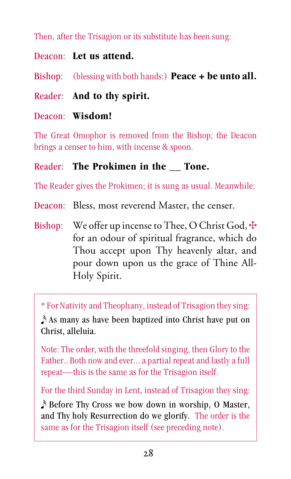Then, after the Trisagion or its substitute has been sung:

Deacon: **Let us attend.**

Bishop: (blessing with both hands:) **Peace + be unto all.**

- Reader: **And to thy spirit.**
- Deacon: **Wisdom!**

The Great Omophor is removed from the Bishop; the Deacon brings a censer to him, with incense & spoon.

## Reader: The Prokimen in the Tone.

The Reader gives the Prokimen; it is sung as usual. Meanwhile:

- Deacon: Bless, most reverend Master, the censer.
- Bishop: We offer up incense to Thee, O Christ God,  $\pm$ for an odour of spiritual fragrance, which do Thou accept upon Thy heavenly altar, and pour down upon us the grace of Thine All-Holy Spirit.

\* For Nativity and Theophany, instead of Trisagion they sing:

As many as have been baptized into Christ have put on Christ, alleluia.

Note: The order, with the threefold singing, then Glory to the Father.. Both now and ever... a partial repeat and lastly a full repeat—this is the same as for the Trisagion itself.

For the third Sunday in Lent, instead of Trisagion they sing: x Before Thy Cross we bow down in worship, O Master, and Thy holy Resurrection do we glorify. The order is the same as for the Trisagion itself (see preceding note).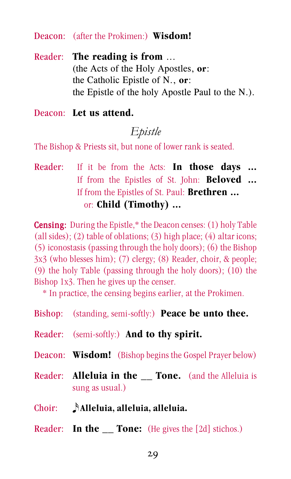#### Deacon: (after the Prokimen:) **Wisdom!**

Reader: **The reading is from** ... (the Acts of the Holy Apostles, **or**: the Catholic Epistle of N., **or**: the Epistle of the holy Apostle Paul to the N.).

#### Deacon: **Let us attend.**

## Epistle

The Bishop & Priests sit, but none of lower rank is seated.

Reader: If it be from the Acts: **In those days ...** If from the Epistles of St. John: **Beloved ...** If from the Epistles of St. Paul: **Brethren ...** or: **Child (Timothy) ...**

**Censing:** During the Epistle,\* the Deacon censes: (1) holy Table (all sides); (2) table of oblations; (3) high place; (4) altar icons; (5) iconostasis (passing through the holy doors); (6) the Bishop 3x3 (who blesses him); (7) clergy; (8) Reader, choir, & people; (9) the holy Table (passing through the holy doors); (10) the Bishop 1x3. Then he gives up the censer.

\* In practice, the censing begins earlier, at the Prokimen.

| Bishop: (standing, semi-softly:) <b>Peace be unto thee.</b>              |
|--------------------------------------------------------------------------|
| Reader: (semi-softly:) And to thy spirit.                                |
| Deacon: Wisdom! (Bishop begins the Gospel Prayer below)                  |
| Reader: Alleluia in the __ Tone. (and the Alleluia is<br>sung as usual.) |
| Choir: Nalleluia, alleluia, alleluia.                                    |
| <b>Reader:</b> In the $\angle$ Tone: (He gives the [2d] stichos.)        |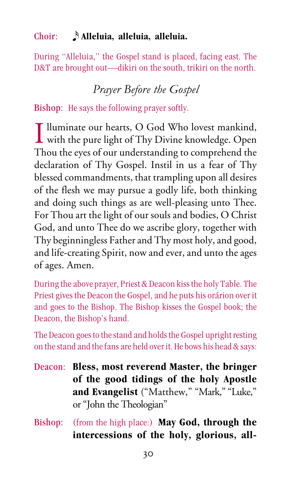## Choir: x **Alleluia, alleluia, alleluia.**

During "Alleluia," the Gospel stand is placed, facing east. The D&T are brought out—dikiri on the south, trikiri on the north.

## Prayer Before the Gospel

Bishop: He says the following prayer softly.

I lluminate our hearts, O God Who lovest mankind,<br>with the pure light of Thy Divine knowledge. Open Thou the eyes of our understanding to comprehend the declaration of Thy Gospel. Instil in us a fear of Thy blessed commandments, that trampling upon all desires of the flesh we may pursue a godly life, both thinking and doing such things as are well-pleasing unto Thee. For Thou art the light of our souls and bodies, O Christ God, and unto Thee do we ascribe glory, together with Thy beginningless Father and Thy most holy, and good, and life-creating Spirit, now and ever, and unto the ages of ages. Amen.

During the above prayer, Priest & Deacon kiss the holy Table. The Priest gives the Deacon the Gospel, and he puts his orárion over it and goes to the Bishop. The Bishop kisses the Gospel book; the Deacon, the Bishop's hand.

The Deacon goes to the stand and holds the Gospel upright resting on the stand and the fans are held over it. He bows his head & says:

- Deacon: **Bless, most reverend Master, the bringer of the good tidings of the holy Apostle and Evangelist** ("Matthew," "Mark," "Luke," or "John the Theologian"
- Bishop: (from the high place:) **May God, through the intercessions of the holy, glorious, all-**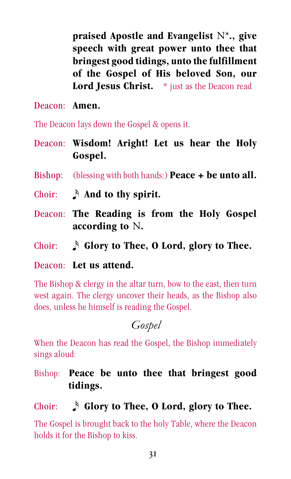**praised Apostle and Evangelist** N\***., give speech with great power unto thee that bringest good tidings, unto the fulfillment of the Gospel of His beloved Son, our** Lord Jesus Christ. \* just as the Deacon read

Deacon: **Amen.**

The Deacon lays down the Gospel & opens it.

- Deacon: **Wisdom! Aright! Let us hear the Holy Gospel.**
- Bishop: (blessing with both hands:) **Peace + be unto all.**
- Choir:  $\qquad \qquad$  **And to thy spirit.**
- Deacon: **The Reading is from the Holy Gospel according to** N**.**
- Choir:  $\triangle$  Glory to Thee, O Lord, glory to Thee.
- Deacon: **Let us attend.**

The Bishop & clergy in the altar turn, bow to the east, then turn west again. The clergy uncover their heads, as the Bishop also does, unless he himself is reading the Gospel.

## **Gospel**

When the Deacon has read the Gospel, the Bishop immediately sings aloud:

Bishop: **Peace be unto thee that bringest good tidings.**

## Choir:  $\qquad \qquad \blacktriangle$  Glory to Thee, O Lord, glory to Thee.

The Gospel is brought back to the holy Table, where the Deacon holds it for the Bishop to kiss.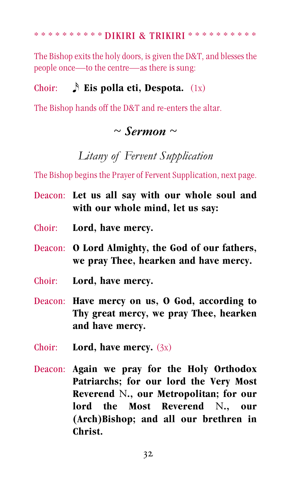### \* \* \* \* \* \* \* \* \* \* DIKIRI & TRIKIRI \* \* \* \* \* \* \* \* \* \* \*

The Bishop exits the holy doors, is given the D&T, and blesses the people once—to the centre—as there is sung:

### Choir: **Social Eis polla eti, Despota.** (1x)

The Bishop hands off the D&T and re-enters the altar.

## *~* Sermon *~*

Litany of Fervent Supplication

The Bishop begins the Prayer of Fervent Supplication, next page.

- Deacon: **Let us all say with our whole soul and with our whole mind, let us say:**
- Choir: **Lord, have mercy.**
- Deacon: **O Lord Almighty, the God of our fathers, we pray Thee, hearken and have mercy.**
- Choir: **Lord, have mercy.**
- Deacon: **Have mercy on us, O God, according to Thy great mercy, we pray Thee, hearken and have mercy.**
- Choir: **Lord, have mercy.** (3x)
- Deacon: **Again we pray for the Holy Orthodox Patriarchs; for our lord the Very Most Reverend** N**., our Metropolitan; for our lord the Most Reverend** N**., our (Arch)Bishop; and all our brethren in Christ.**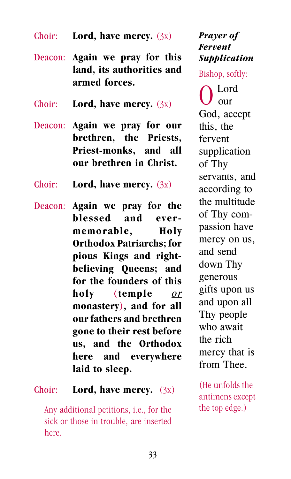- Choir: **Lord, have mercy.** (3x)
- Deacon: **Again we pray for this land, its authorities and armed forces.**
- Choir: **Lord, have mercy.** (3x)
- Deacon: **Again we pray for our brethren, the Priests, Priest-monks, and all our brethren in Christ.**
- Choir: **Lord, have mercy.** (3x)
- Deacon: **Again we pray for the blessed and evermemorable, Holy Orthodox Patriarchs; for pious Kings and rightbelieving Queens; and for the founders of this holy** (**temple** or **monastery**)**, and for all our fathers and brethren gone to their rest before us, and the Orthodox here and everywhere laid to sleep.**

Choir: **Lord, have mercy.** (3x)

Any additional petitions, i.e., for the sick or those in trouble, are inserted here.

*Prayer of Fervent Supplication*

Bishop, softly:

Lord our God, accept this, the fervent supplication of Thy servants, and according to the multitude of Thy compassion have mercy on us, and send down Thy generous gifts upon us and upon all Thy people who await the rich mercy that is from Thee.

(He unfolds the antimens except the top edge.)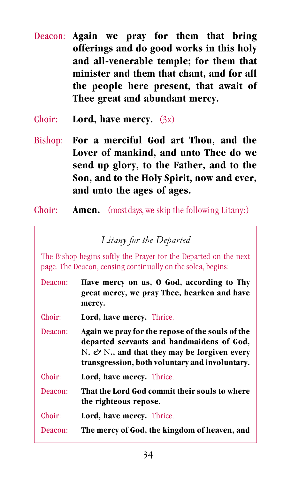- Deacon: **Again we pray for them that bring offerings and do good works in this holy and all-venerable temple; for them that minister and them that chant, and for all the people here present, that await of Thee great and abundant mercy.**
- Choir: **Lord, have mercy.** (3x)
- Bishop: **For a merciful God art Thou, and the Lover of mankind, and unto Thee do we send up glory, to the Father, and to the Son, and to the Holy Spirit, now and ever, and unto the ages of ages.**
- Choir: **Amen.** (most days, we skip the following Litany:)

## Litany for the Departed

The Bishop begins softly the Prayer for the Departed on the next page. The Deacon, censing continually on the solea, begins:

- Deacon: **Have mercy on us, O God, according to Thy great mercy, we pray Thee, hearken and have mercy.**
- Choir: **Lord, have mercy.** Thrice.
- Deacon: **Again we pray for the repose of the souls of the departed servants and handmaidens of God,** N**.** *&* N**., and that they may be forgiven every transgression, both voluntary and involuntary.**
- Choir: **Lord, have mercy.** Thrice.
- Deacon: **That the Lord God commit their souls to where the righteous repose.**
- Choir: **Lord, have mercy.** Thrice.
- Deacon: **The mercy of God, the kingdom of heaven, and**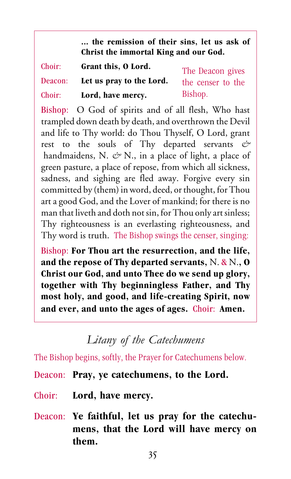**... the remission of their sins, let us ask of Christ the immortal King and our God.**

Choir: **Grant this, O Lord.** Deacon: **Let us pray to the Lord.** Choir: **Lord, have mercy.** The Deacon gives the censer to the Bishop.

Bishop: O God of spirits and of all flesh, Who hast trampled down death by death, and overthrown the Devil and life to Thy world: do Thou Thyself, O Lord, grant rest to the souls of Thy departed servants  $\mathcal{O}^*$ handmaidens, N.  $\dot{\mathcal{O}}$  N., in a place of light, a place of green pasture, a place of repose, from which all sickness, sadness, and sighing are fled away. Forgive every sin committed by (them) in word, deed, or thought, for Thou art a good God, and the Lover of mankind; for there is no man that liveth and doth not sin, for Thou only art sinless; Thy righteousness is an everlasting righteousness, and Thy word is truth. The Bishop swings the censer, singing:

Bishop: **For Thou art the resurrection, and the life, and the repose of Thy departed servants,** N. & N.**, O Christ our God, and unto Thee do we send up glory, together with Thy beginningless Father, and Thy most holy, and good, and life-creating Spirit, now and ever, and unto the ages of ages.** Choir: **Amen.**

Litany of the Catechumens

The Bishop begins, softly, the Prayer for Catechumens below.

- Deacon: **Pray, ye catechumens, to the Lord.**
- Choir: **Lord, have mercy.**
- Deacon: **Ye faithful, let us pray for the catechumens, that the Lord will have mercy on them.**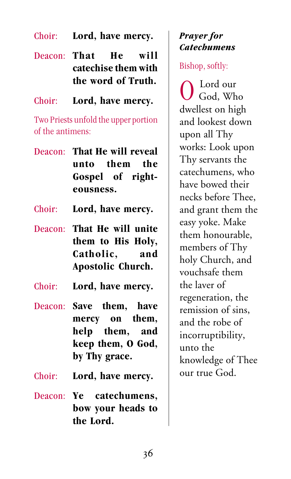- Choir: **Lord, have mercy.**
- Deacon: **That He will catechise them with the word of Truth.**

#### Choir: **Lord, have mercy.**

Two Priests unfold the upper portion of the antimens:

- Deacon: **That He will reveal unto them the Gospel of righteousness.**
- Choir: **Lord, have mercy.**
- Deacon: **That He will unite them to His Holy, Catholic, and Apostolic Church.**
- Choir: **Lord, have mercy.**
- Deacon: **Save them, have mercy on them, help them, and keep them, O God, by Thy grace.**
- Choir: **Lord, have mercy.**
- Deacon: **Ye catechumens, bow your heads to the Lord.**

## *Prayer for Catechumens*

Bishop, softly:

O Lord our God, Who dwellest on high and lookest down upon all Thy works: Look upon Thy servants the catechumens, who have bowed their necks before Thee, and grant them the easy yoke. Make them honourable, members of Thy holy Church, and vouchsafe them the laver of regeneration, the remission of sins, and the robe of incorruptibility, unto the knowledge of Thee our true God.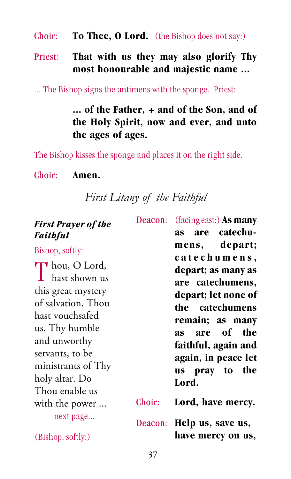#### Choir: **To Thee, O Lord.** (the Bishop does not say:)

#### Priest: **That with us they may also glorify Thy most honourable and majestic name ...**

... The Bishop signs the antimens with the sponge. Priest:

## **... of the Father, + and of the Son, and of the Holy Spirit, now and ever, and unto the ages of ages.**

The Bishop kisses the sponge and places it on the right side.

#### Choir: **Amen.**

# First Litany of the Faithful

#### *First Prayer of the Faithful*

Bishop, softly:

T hou, O Lord, hast shown us this great mystery of salvation. Thou hast vouchsafed us, Thy humble and unworthy servants, to be ministrants of Thy holy altar. Do Thou enable us with the power ... next page...

(Bishop, softly:)

| Deacon: | $(facing east.)$ As many |                     |
|---------|--------------------------|---------------------|
|         | as                       | are catechu-        |
|         |                          | mens, depart;       |
|         |                          | catechumens,        |
|         | depart; as many as       |                     |
|         |                          | are catechumens,    |
|         | depart; let none of      |                     |
|         |                          | the catechumens     |
|         |                          | remain; as many     |
|         | as                       | are of the          |
|         |                          | faithful, again and |
|         |                          | again, in peace let |
|         |                          | us pray to the      |
|         | Lord.                    |                     |
| Choir:  | Lord, have mercy.        |                     |

Deacon: **Help us, save us, have mercy on us,**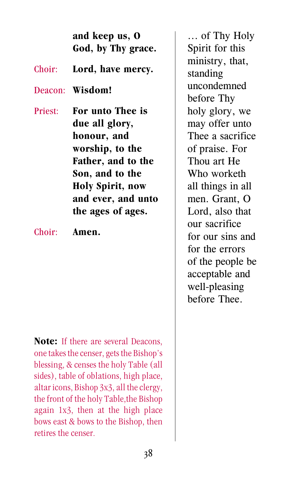**and keep us, O God, by Thy grace.**

Choir: **Lord, have mercy.**

Deacon: **Wisdom!**

Priest: **For unto Thee is due all glory, honour, and worship, to the Father, and to the Son, and to the Holy Spirit, now and ever, and unto the ages of ages.**

Choir: **Amen.**

**Note:** If there are several Deacons, one takes the censer, gets the Bishop's blessing, & censes the holy Table (all sides), table of oblations, high place, altar icons, Bishop 3x3, all the clergy, the front of the holy Table,the Bishop again 1x3, then at the high place bows east & bows to the Bishop, then retires the censer.

... of Thy Holy Spirit for this ministry, that, standing uncondemned before Thy holy glory, we may offer unto Thee a sacrifice of praise. For Thou art He Who worketh all things in all men. Grant, O Lord, also that our sacrifice for our sins and for the errors of the people be acceptable and well-pleasing before Thee.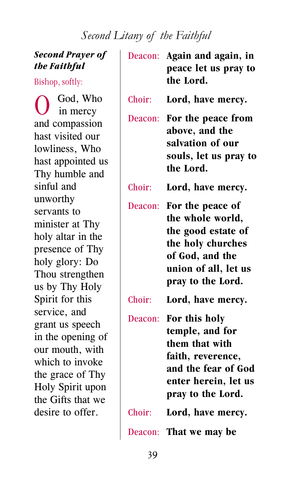# Second Litany of the Faithful

## *Second Prayer of the Faithful*

Bishop, softly:

God, Who in mercy and compassion hast visited our lowliness, Who hast appointed us Thy humble and sinful and unworthy servants to minister at Thy holy altar in the presence of Thy holy glory: Do Thou strengthen us by Thy Holy Spirit for this service, and grant us speech in the opening of our mouth, with which to invoke the grace of Thy Holy Spirit upon the Gifts that we desire to offer.

- Deacon: **Again and again, in peace let us pray to the Lord.**
- Choir: **Lord, have mercy.**
- Deacon: **For the peace from above, and the salvation of our souls, let us pray to the Lord.**
- Choir: **Lord, have mercy.**
- Deacon: **For the peace of the whole world, the good estate of the holy churches of God, and the union of all, let us pray to the Lord.**
- Choir: **Lord, have mercy.**
- Deacon: **For this holy temple, and for them that with faith, reverence, and the fear of God enter herein, let us pray to the Lord.** Choir: **Lord, have mercy.**
- Deacon: **That we may be**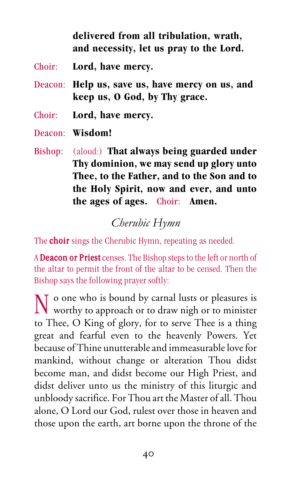**delivered from all tribulation, wrath, and necessity, let us pray to the Lord.**

- Choir: **Lord, have mercy.**
- Deacon: **Help us, save us, have mercy on us, and keep us, O God, by Thy grace.**
- Choir: **Lord, have mercy.**
- Deacon: **Wisdom!**
- Bishop: (aloud:) **That always being guarded under Thy dominion, we may send up glory unto Thee, to the Father, and to the Son and to the Holy Spirit, now and ever, and unto the ages of ages.** Choir: **Amen.**

# Cherubic Hymn

The **choir** sings the Cherubic Hymn, repeating as needed.

A **Deacon or Priest** censes. The Bishop steps to the left or north of the altar to permit the front of the altar to be censed. Then the Bishop says the following prayer softly:

N o one who is bound by carnal lusts or pleasures is<br>worthy to approach or to draw nigh or to minister to Thee, O King of glory, for to serve Thee is a thing great and fearful even to the heavenly Powers. Yet because of Thine unutterable and immeasurable love for mankind, without change or alteration Thou didst become man, and didst become our High Priest, and didst deliver unto us the ministry of this liturgic and unbloody sacrifice. For Thou art the Master of all. Thou alone, O Lord our God, rulest over those in heaven and those upon the earth, art borne upon the throne of the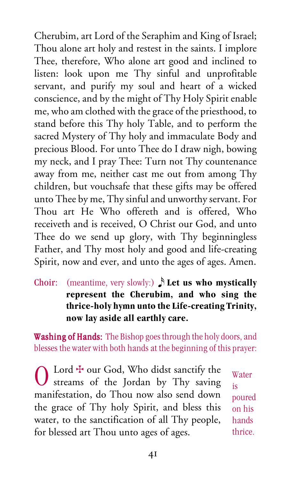Cherubim, art Lord of the Seraphim and King of Israel; Thou alone art holy and restest in the saints. I implore Thee, therefore, Who alone art good and inclined to listen: look upon me Thy sinful and unprofitable servant, and purify my soul and heart of a wicked conscience, and by the might of Thy Holy Spirit enable me, who am clothed with the grace of the priesthood, to stand before this Thy holy Table, and to perform the sacred Mystery of Thy holy and immaculate Body and precious Blood. For unto Thee do I draw nigh, bowing my neck, and I pray Thee: Turn not Thy countenance away from me, neither cast me out from among Thy children, but vouchsafe that these gifts may be offered unto Thee by me, Thy sinful and unworthy servant. For Thou art He Who offereth and is offered, Who receiveth and is received, O Christ our God, and unto Thee do we send up glory, with Thy beginningless Father, and Thy most holy and good and life-creating Spirit, now and ever, and unto the ages of ages. Amen.

Choir: (meantime, very slowly:)  $\triangle$  **Let us who mystically represent the Cherubim, and who sing the thrice-holy hymn unto the Life-creating Trinity, now lay aside all earthly care.**

**Washing of Hands:** The Bishop goes through the holy doors, and blesses the water with both hands at the beginning of this prayer:

 $\bigcirc$  Lord  $\pm$  our God, Who didst sanctify the streams of the Jordan by Thy saving manifestation, do Thou now also send down the grace of Thy holy Spirit, and bless this water, to the sanctification of all Thy people, for blessed art Thou unto ages of ages. Water is poured on his hands thrice.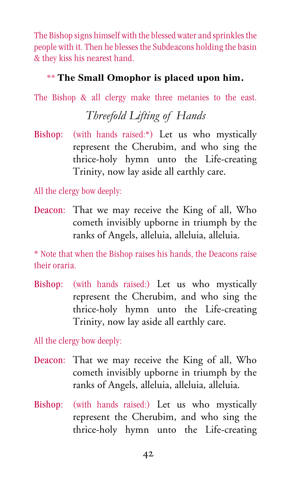The Bishop signs himself with the blessed water and sprinkles the people with it. Then he blesses the Subdeacons holding the basin & they kiss his nearest hand.

#### \*\* The Small Omophor is placed upon him.

The Bishop & all clergy make three metanies to the east.

# Threefold Lifting of Hands

Bishop: (with hands raised:\*) Let us who mystically represent the Cherubim, and who sing the thrice-holy hymn unto the Life-creating Trinity, now lay aside all earthly care.

All the clergy bow deeply:

Deacon: That we may receive the King of all, Who cometh invisibly upborne in triumph by the ranks of Angels, alleluia, alleluia, alleluia.

\* Note that when the Bishop raises his hands, the Deacons raise their oraria.

Bishop: (with hands raised:) Let us who mystically represent the Cherubim, and who sing the thrice-holy hymn unto the Life-creating Trinity, now lay aside all earthly care.

All the clergy bow deeply:

- Deacon: That we may receive the King of all, Who cometh invisibly upborne in triumph by the ranks of Angels, alleluia, alleluia, alleluia.
- Bishop: (with hands raised:) Let us who mystically represent the Cherubim, and who sing the thrice-holy hymn unto the Life-creating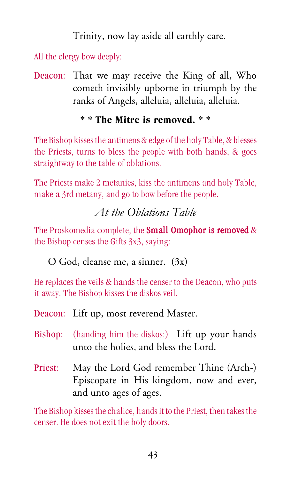Trinity, now lay aside all earthly care.

All the clergy bow deeply:

Deacon: That we may receive the King of all, Who cometh invisibly upborne in triumph by the ranks of Angels, alleluia, alleluia, alleluia.

## **\* \* The Mitre is removed. \* \***

The Bishop kisses the antimens & edge of the holy Table, & blesses the Priests, turns to bless the people with both hands, & goes straightway to the table of oblations.

The Priests make 2 metanies, kiss the antimens and holy Table, make a 3rd metany, and go to bow before the people.

# At the Oblations Table

The Proskomedia complete, the **Small Omophor is removed**  $\&$ the Bishop censes the Gifts 3x3, saying:

O God, cleanse me, a sinner. (3x)

He replaces the veils & hands the censer to the Deacon, who puts it away. The Bishop kisses the diskos veil.

Deacon: Lift up, most reverend Master.

- Bishop: (handing him the diskos:) Lift up your hands unto the holies, and bless the Lord.
- Priest: May the Lord God remember Thine (Arch-) Episcopate in His kingdom, now and ever, and unto ages of ages.

The Bishop kisses the chalice, hands it to the Priest, then takes the censer. He does not exit the holy doors.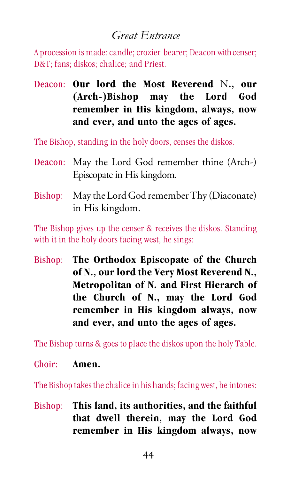## Great Entrance

A procession is made: candle; crozier-bearer; Deacon with censer; D&T; fans; diskos; chalice; and Priest.

Deacon: **Our lord the Most Reverend** N**., our (Arch-)Bishop may the Lord God remember in His kingdom, always, now and ever, and unto the ages of ages.**

The Bishop, standing in the holy doors, censes the diskos.

- Deacon: May the Lord God remember thine (Arch-) Episcopate in His kingdom.
- Bishop: May the Lord God remember Thy (Diaconate) in His kingdom.

The Bishop gives up the censer & receives the diskos. Standing with it in the holy doors facing west, he sings:

Bishop: **The Orthodox Episcopate of the Church of N., our lord the Very Most Reverend N., Metropolitan of N. and First Hierarch of the Church of N., may the Lord God remember in His kingdom always, now and ever, and unto the ages of ages.**

The Bishop turns & goes to place the diskos upon the holy Table.

Choir: **Amen.**

The Bishop takes the chalice in his hands; facing west, he intones:

Bishop: **This land, its authorities, and the faithful that dwell therein, may the Lord God remember in His kingdom always, now**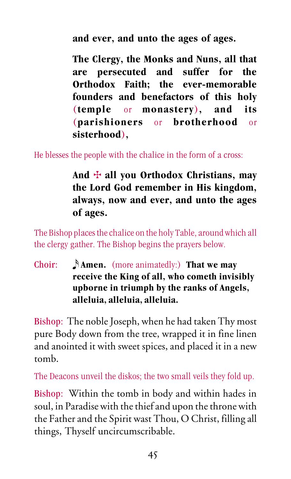**and ever, and unto the ages of ages.**

**The Clergy, the Monks and Nuns, all that are persecuted and suffer for the Orthodox Faith; the ever-memorable founders and benefactors of this holy** (**temple** or **monastery**)**, and its** (**parishioners** or **brotherhood** or **sisterhood**)**,**

He blesses the people with the chalice in the form of a cross:

**And all you Orthodox Christians, may the Lord God remember in His kingdom, always, now and ever, and unto the ages of ages.**

The Bishop places the chalice on the holy Table, around which all the clergy gather. The Bishop begins the prayers below.

Choir: x **Amen.** (more animatedly:) **That we may receive the King of all, who cometh invisibly upborne in triumph by the ranks of Angels, alleluia, alleluia, alleluia.**

Bishop: The noble Joseph, when he had taken Thy most pure Body down from the tree, wrapped it in fine linen and anointed it with sweet spices, and placed it in a new tomb.

The Deacons unveil the diskos; the two small veils they fold up.

Bishop: Within the tomb in body and within hades in soul, in Paradise with the thief and upon the throne with the Father and the Spirit wast Thou, O Christ, filling all things, Thyself uncircumscribable.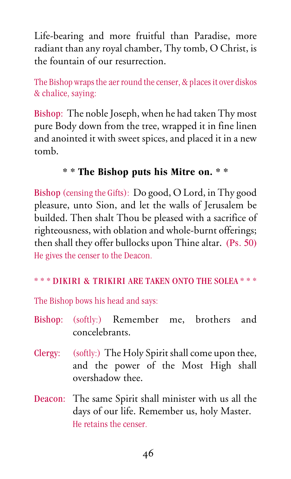Life-bearing and more fruitful than Paradise, more radiant than any royal chamber, Thy tomb, O Christ, is the fountain of our resurrection.

The Bishop wraps the aer round the censer, & places it over diskos & chalice, saying:

Bishop: The noble Joseph, when he had taken Thy most pure Body down from the tree, wrapped it in fine linen and anointed it with sweet spices, and placed it in a new tomb.

# **\* \* The Bishop puts his Mitre on. \* \***

Bishop (censing the Gifts): Do good, O Lord, in Thy good pleasure, unto Sion, and let the walls of Jerusalem be builded. Then shalt Thou be pleased with a sacrifice of righteousness, with oblation and whole-burnt offerings; then shall they offer bullocks upon Thine altar. (Ps. 50) He gives the censer to the Deacon.

#### \* \* \* DIKIRI & TRIKIRI ARE TAKEN ONTO THE SOLEA \* \* \*

The Bishop bows his head and says:

- Bishop: (softly:) Remember me, brothers and concelebrants.
- Clergy: (softly:) The Holy Spirit shall come upon thee, and the power of the Most High shall overshadow thee.
- Deacon: The same Spirit shall minister with us all the days of our life. Remember us, holy Master. He retains the censer.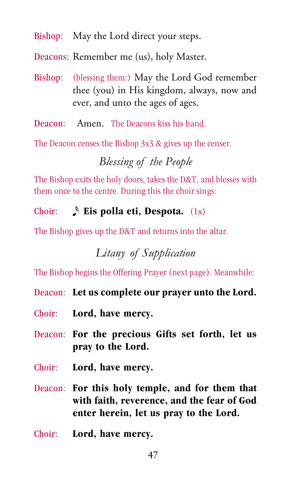Bishop: May the Lord direct your steps.

Deacons: Remember me (us), holy Master.

Bishop: (blessing them:) May the Lord God remember thee (you) in His kingdom, always, now and ever, and unto the ages of ages.

Deacon: Amen. The Deacons kiss his hand.

The Deacon censes the Bishop 3x3 & gives up the censer.

Blessing of the People

The Bishop exits the holy doors, takes the D&T, and blesses with them once to the centre. During this the choir sings:

#### Choir:  $\triangle$  **Eis polla eti, Despota.** (1x)

The Bishop gives up the D&T and returns into the altar.

# Litany of Supplication

The Bishop begins the Offering Prayer (next page). Meanwhile:

Deacon: **Let us complete our prayer unto the Lord.**

- Choir: **Lord, have mercy.**
- Deacon: **For the precious Gifts set forth, let us pray to the Lord.**
- Choir: **Lord, have mercy.**
- Deacon: **For this holy temple, and for them that with faith, reverence, and the fear of God enter herein, let us pray to the Lord.**
- Choir: **Lord, have mercy.**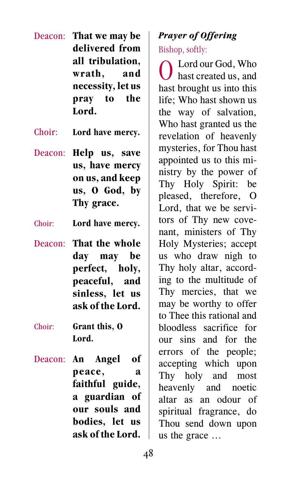- Deacon: **That we may be delivered from all tribulation, wrath, and necessity, let us pray to the Lord.**
- Choir: **Lord have mercy.**
- Deacon: **Help us, save us, have mercy on us, and keep us, O God, by Thy grace.**
- Choir: **Lord have mercy.**
- Deacon: **That the whole day may be perfect, holy, peaceful, and sinless, let us ask of the Lord.**
- Choir: **Grant this, O Lord.**
- Deacon: **An Angel of peace, a faithful guide, a guardian of our souls and bodies, let us ask of the Lord.**

## *Prayer of Offering* Bishop, softly:

O Lord our God, Who hast created us, and hast brought us into this life; Who hast shown us the way of salvation, Who hast granted us the revelation of heavenly mysteries, for Thou hast appointed us to this ministry by the power of Thy Holy Spirit: be pleased, therefore, O Lord, that we be servitors of Thy new covenant, ministers of Thy Holy Mysteries; accept us who draw nigh to Thy holy altar, according to the multitude of Thy mercies, that we may be worthy to offer to Thee this rational and bloodless sacrifice for our sins and for the errors of the people; accepting which upon Thy holy and most heavenly and noetic altar as an odour of spiritual fragrance, do Thou send down upon us the grace ...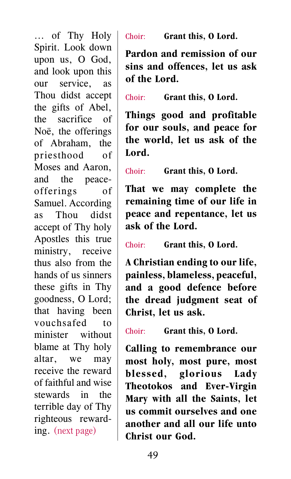... of Thy Holy Spirit. Look down upon us, O God, and look upon this our service, as Thou didst accept the gifts of Abel, the sacrifice of Noë, the offerings of Abraham, the priesthood of Moses and Aaron, and the peaceofferings of Samuel. According as Thou didst accept of Thy holy Apostles this true ministry, receive thus also from the hands of us sinners these gifts in Thy goodness, O Lord; that having been vouchsafed to minister without blame at Thy holy altar, we may receive the reward of faithful and wise stewards in the terrible day of Thy righteous rewarding. (next page)

Choir: **Grant this, O Lord.**

**Pardon and remission of our sins and offences, let us ask of the Lord.**

Choir: **Grant this, O Lord.**

**Things good and profitable for our souls, and peace for the world, let us ask of the Lord.**

Choir: **Grant this, O Lord.**

**That we may complete the remaining time of our life in peace and repentance, let us ask of the Lord.**

Choir: **Grant this, O Lord.**

**A Christian ending to our life, painless, blameless, peaceful, and a good defence before the dread judgment seat of Christ, let us ask.**

Choir: **Grant this, O Lord.**

**Calling to remembrance our most holy, most pure, most blessed, glorious Lady Theotokos and Ever-Virgin Mary with all the Saints, let us commit ourselves and one another and all our life unto Christ our God.**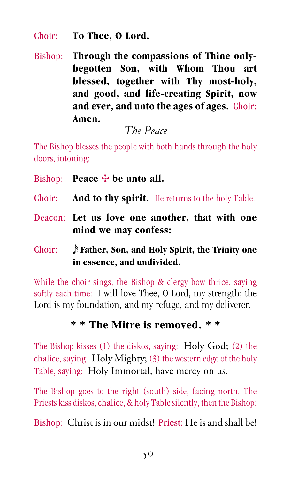- Choir: **To Thee, O Lord.**
- Bishop: **Through the compassions of Thine onlybegotten Son, with Whom Thou art blessed, together with Thy most-holy, and good, and life-creating Spirit, now and ever, and unto the ages of ages.** Choir: **Amen.**

## The Peace

The Bishop blesses the people with both hands through the holy doors, intoning:

- Bishop: **Peace**  $\div$  **be unto all.**
- Choir: **And to thy spirit.** He returns to the holy Table.
- Deacon: **Let us love one another, that with one mind we may confess:**
- Choir:  $\qquad \qquad$ **Father, Son, and Holy Spirit, the Trinity one in essence, and undivided.**

While the choir sings, the Bishop & clergy bow thrice, saying softly each time: I will love Thee, O Lord, my strength; the Lord is my foundation, and my refuge, and my deliverer.

#### \* \* The Mitre is removed. \* \*

The Bishop kisses (1) the diskos, saying: Holy God; (2) the chalice, saying: Holy Mighty; (3) the western edge of the holy Table, saying: Holy Immortal, have mercy on us.

The Bishop goes to the right (south) side, facing north. The Priests kiss diskos, chalice, & holy Table silently, then the Bishop:

Bishop: Christ is in our midst! Priest: He is and shall be!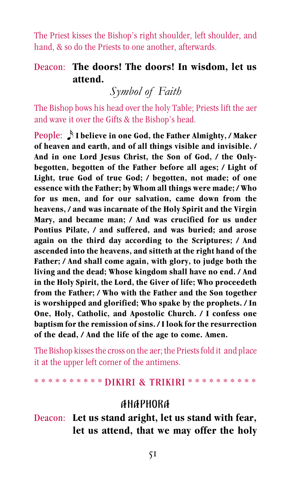The Priest kisses the Bishop's right shoulder, left shoulder, and hand, & so do the Priests to one another, afterwards.

#### Deacon: **The doors! The doors! In wisdom, let us attend.**

Symbol of Faith

The Bishop bows his head over the holy Table; Priests lift the aer and wave it over the Gifts & the Bishop's head.

People:  $\triangle$ **I** believe in one God, the Father Almighty, / Maker **of heaven and earth, and of all things visible and invisible. / And in one Lord Jesus Christ, the Son of God, / the Onlybegotten, begotten of the Father before all ages; / Light of Light, true God of true God; / begotten, not made; of one essence with the Father; by Whom all things were made; / Who for us men, and for our salvation, came down from the heavens, / and was incarnate of the Holy Spirit and the Virgin Mary, and became man; / And was crucified for us under Pontius Pilate, / and suffered, and was buried; and arose again on the third day according to the Scriptures; / And ascended into the heavens, and sitteth at the right hand of the Father; / And shall come again, with glory, to judge both the living and the dead; Whose kingdom shall have no end. / And in the Holy Spirit, the Lord, the Giver of life; Who proceedeth from the Father; / Who with the Father and the Son together is worshipped and glorified; Who spake by the prophets. / In One, Holy, Catholic, and Apostolic Church. / I confess one baptism for the remission of sins. / I look for the resurrection of the dead, / And the life of the age to come. Amen.**

The Bishop kisses the cross on the aer; the Priests fold it and place it at the upper left corner of the antimens.

\* \* \* \* \* \* \* \* \* \* DIKIRI & TRIKIRI \* \* \* \* \* \* \* \* \* \*

#### ANAPHORA

#### Deacon: **Let us stand aright, let us stand with fear, let us attend, that we may offer the holy**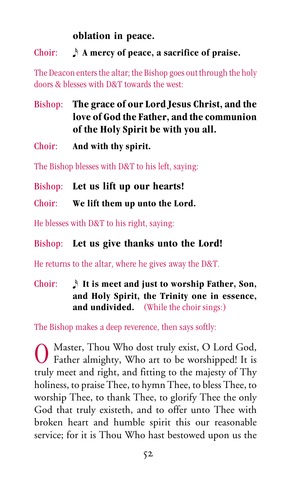### **oblation in peace.**

#### Choir:  $\qquad \qquad \Lambda$  **A** mercy of peace, a sacrifice of praise.

The Deacon enters the altar; the Bishop goes out through the holy doors & blesses with D&T towards the west:

- Bishop: **The grace of our Lord Jesus Christ, and the love of God the Father, and the communion of the Holy Spirit be with you all.**
- Choir: **And with thy spirit.**

The Bishop blesses with D&T to his left, saying:

- Bishop: **Let us lift up our hearts!**
- Choir: **We lift them up unto the Lord.**

He blesses with D&T to his right, saying:

## Bishop: **Let us give thanks unto the Lord!**

He returns to the altar, where he gives away the D&T.

Choir:  $\qquad \qquad$  It is meet and just to worship Father, Son, **and Holy Spirit, the Trinity one in essence, and undivided.** (While the choir sings:)

The Bishop makes a deep reverence, then says softly:

O Master, Thou Who dost truly exist, O Lord God, Father almighty, Who art to be worshipped! It is truly meet and right, and fitting to the majesty of Thy holiness, to praise Thee, to hymn Thee, to bless Thee, to worship Thee, to thank Thee, to glorify Thee the only God that truly existeth, and to offer unto Thee with broken heart and humble spirit this our reasonable service; for it is Thou Who hast bestowed upon us the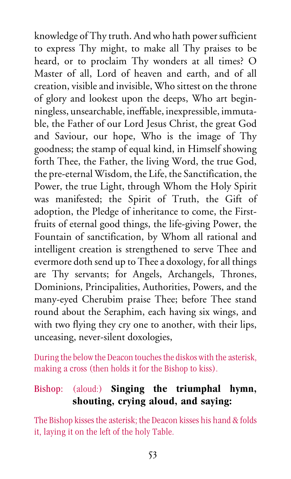knowledge of Thy truth. And who hath power sufficient to express Thy might, to make all Thy praises to be heard, or to proclaim Thy wonders at all times? O Master of all, Lord of heaven and earth, and of all creation, visible and invisible, Who sittest on the throne of glory and lookest upon the deeps, Who art beginningless, unsearchable, ineffable, inexpressible, immutable, the Father of our Lord Jesus Christ, the great God and Saviour, our hope, Who is the image of Thy goodness; the stamp of equal kind, in Himself showing forth Thee, the Father, the living Word, the true God, the pre-eternal Wisdom, the Life, the Sanctification, the Power, the true Light, through Whom the Holy Spirit was manifested; the Spirit of Truth, the Gift of adoption, the Pledge of inheritance to come, the Firstfruits of eternal good things, the life-giving Power, the Fountain of sanctification, by Whom all rational and intelligent creation is strengthened to serve Thee and evermore doth send up to Thee a doxology, for all things are Thy servants; for Angels, Archangels, Thrones, Dominions, Principalities, Authorities, Powers, and the many-eyed Cherubim praise Thee; before Thee stand round about the Seraphim, each having six wings, and with two flying they cry one to another, with their lips, unceasing, never-silent doxologies,

During the below the Deacon touches the diskos with the asterisk, making a cross (then holds it for the Bishop to kiss).

## Bishop: (aloud:) **Singing the triumphal hymn, shouting, crying aloud, and saying:**

The Bishop kisses the asterisk; the Deacon kisses his hand & folds it, laying it on the left of the holy Table.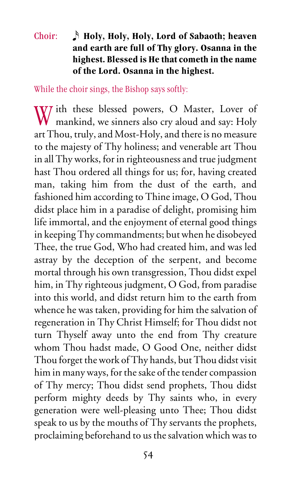#### Choir: x **Holy, Holy, Holy, Lord of Sabaoth; heaven and earth are full of Thy glory. Osanna in the highest. Blessed is He that cometh in the name of the Lord. Osanna in the highest.**

While the choir sings, the Bishop says softly:

W ith these blessed powers, O Master, Lover of mankind, we sinners also cry aloud and say: Holy art Thou, truly, and Most-Holy, and there is no measure to the majesty of Thy holiness; and venerable art Thou in all Thy works, for in righteousness and true judgment hast Thou ordered all things for us; for, having created man, taking him from the dust of the earth, and fashioned him according to Thine image, O God, Thou didst place him in a paradise of delight, promising him life immortal, and the enjoyment of eternal good things in keeping Thy commandments; but when he disobeyed Thee, the true God, Who had created him, and was led astray by the deception of the serpent, and become mortal through his own transgression, Thou didst expel him, in Thy righteous judgment, O God, from paradise into this world, and didst return him to the earth from whence he was taken, providing for him the salvation of regeneration in Thy Christ Himself; for Thou didst not turn Thyself away unto the end from Thy creature whom Thou hadst made, O Good One, neither didst Thou forget the work of Thy hands, but Thou didst visit him in many ways, for the sake of the tender compassion of Thy mercy; Thou didst send prophets, Thou didst perform mighty deeds by Thy saints who, in every generation were well-pleasing unto Thee; Thou didst speak to us by the mouths of Thy servants the prophets, proclaiming beforehand to us the salvation which was to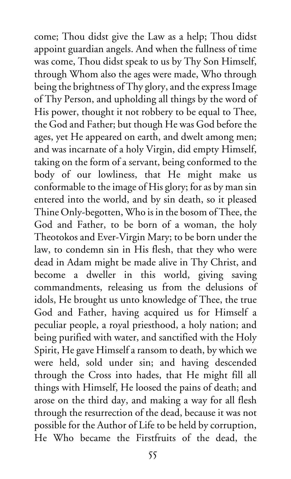come; Thou didst give the Law as a help; Thou didst appoint guardian angels. And when the fullness of time was come, Thou didst speak to us by Thy Son Himself, through Whom also the ages were made, Who through being the brightness of Thy glory, and the express Image of Thy Person, and upholding all things by the word of His power, thought it not robbery to be equal to Thee, the God and Father; but though He was God before the ages, yet He appeared on earth, and dwelt among men; and was incarnate of a holy Virgin, did empty Himself, taking on the form of a servant, being conformed to the body of our lowliness, that He might make us conformable to the image of His glory; for as by man sin entered into the world, and by sin death, so it pleased Thine Only-begotten, Who is in the bosom of Thee, the God and Father, to be born of a woman, the holy Theotokos and Ever-Virgin Mary; to be born under the law, to condemn sin in His flesh, that they who were dead in Adam might be made alive in Thy Christ, and become a dweller in this world, giving saving commandments, releasing us from the delusions of idols, He brought us unto knowledge of Thee, the true God and Father, having acquired us for Himself a peculiar people, a royal priesthood, a holy nation; and being purified with water, and sanctified with the Holy Spirit, He gave Himself a ransom to death, by which we were held, sold under sin; and having descended through the Cross into hades, that He might fill all things with Himself, He loosed the pains of death; and arose on the third day, and making a way for all flesh through the resurrection of the dead, because it was not possible for the Author of Life to be held by corruption, He Who became the Firstfruits of the dead, the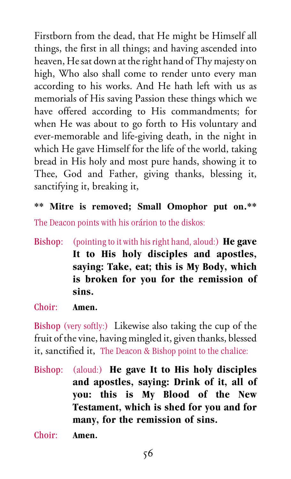Firstborn from the dead, that He might be Himself all things, the first in all things; and having ascended into heaven, He sat down at the right hand of Thy majesty on high, Who also shall come to render unto every man according to his works. And He hath left with us as memorials of His saving Passion these things which we have offered according to His commandments; for when He was about to go forth to His voluntary and ever-memorable and life-giving death, in the night in which He gave Himself for the life of the world, taking bread in His holy and most pure hands, showing it to Thee, God and Father, giving thanks, blessing it, sanctifying it, breaking it,

\*\* Mitre is removed; Small Omophor put on.\*\*

The Deacon points with his orárion to the diskos:

Bishop: (pointing to it with his right hand, aloud:) **He gave It to His holy disciples and apostles, saying: Take, eat; this is My Body, which is broken for you for the remission of sins.**

Choir: **Amen.**

Bishop (very softly:) Likewise also taking the cup of the fruit of the vine, having mingled it, given thanks, blessed it, sanctified it, The Deacon & Bishop point to the chalice:

Bishop: (aloud:) **He gave It to His holy disciples and apostles, saying: Drink of it, all of you: this is My Blood of the New Testament, which is shed for you and for many, for the remission of sins.**

Choir: **Amen.**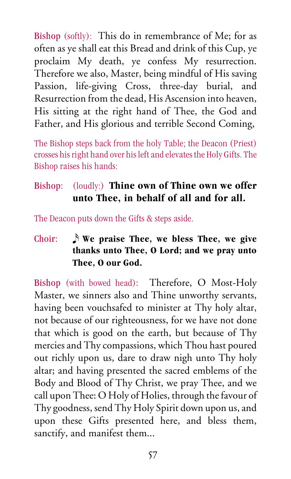Bishop (softly): This do in remembrance of Me; for as often as ye shall eat this Bread and drink of this Cup, ye proclaim My death, ye confess My resurrection. Therefore we also, Master, being mindful of His saving Passion, life-giving Cross, three-day burial, and Resurrection from the dead, His Ascension into heaven, His sitting at the right hand of Thee, the God and Father, and His glorious and terrible Second Coming,

The Bishop steps back from the holy Table; the Deacon (Priest) crosses his right hand over his left and elevates the Holy Gifts. The Bishop raises his hands:

## Bishop: (loudly:) **Thine own of Thine own we offer unto Thee, in behalf of all and for all.**

The Deacon puts down the Gifts & steps aside.

#### Choir:  $\qquad \qquad$  **We praise Thee, we bless Thee, we give thanks unto Thee, O Lord; and we pray unto Thee, O our God.**

Bishop (with bowed head): Therefore, O Most-Holy Master, we sinners also and Thine unworthy servants, having been vouchsafed to minister at Thy holy altar, not because of our righteousness, for we have not done that which is good on the earth, but because of Thy mercies and Thy compassions, which Thou hast poured out richly upon us, dare to draw nigh unto Thy holy altar; and having presented the sacred emblems of the Body and Blood of Thy Christ, we pray Thee, and we call upon Thee: O Holy of Holies, through the favour of Thy goodness, send Thy Holy Spirit down upon us, and upon these Gifts presented here, and bless them, sanctify, and manifest them...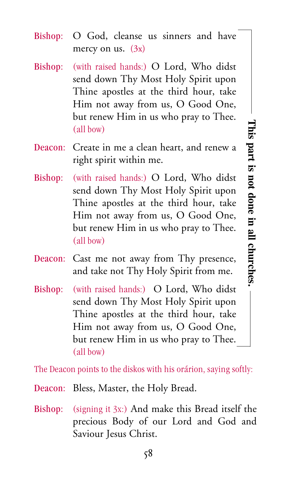- Bishop: O God, cleanse us sinners and have mercy on us.  $(3x)$
- Bishop: (with raised hands:) O Lord, Who didst send down Thy Most Holy Spirit upon Thine apostles at the third hour, take Him not away from us, O Good One, but renew Him in us who pray to Thee. (all bow)
- Deacon: Create in me a clean heart, and renew a right spirit within me.
- Bishop: (with raised hands:) O Lord, Who didst send down Thy Most Holy Spirit upon Thine apostles at the third hour, take Him not away from us, O Good One, but renew Him in us who pray to Thee. (all bow)
- Deacon: Cast me not away from Thy presence, and take not Thy Holy Spirit from me.
- Bishop: (with raised hands:) O Lord, Who didst send down Thy Most Holy Spirit upon Thine apostles at the third hour, take Him not away from us, O Good One, but renew Him in us who pray to Thee. (all bow)

The Deacon points to the diskos with his orárion, saying softly:

- Deacon: Bless, Master, the Holy Bread.
- Bishop: (signing it 3x:) And make this Bread itself the precious Body of our Lord and God and Saviour Jesus Christ.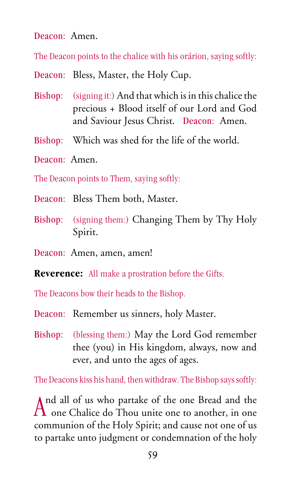#### Deacon: Amen.

The Deacon points to the chalice with his orárion, saying softly:

- Deacon: Bless, Master, the Holy Cup.
- Bishop: (signing it:) And that which is in this chalice the precious + Blood itself of our Lord and God and Saviour Jesus Christ. Deacon: Amen.
- Bishop: Which was shed for the life of the world.
- Deacon: Amen.

The Deacon points to Them, saying softly:

- Deacon: Bless Them both, Master.
- Bishop: (signing them:) Changing Them by Thy Holy Spirit.
- Deacon: Amen, amen, amen!

**Reverence:** All make a prostration before the Gifts.

The Deacons bow their heads to the Bishop.

- Deacon: Remember us sinners, holy Master.
- Bishop: (blessing them:) May the Lord God remember thee (you) in His kingdom, always, now and ever, and unto the ages of ages.

The Deacons kiss his hand, then withdraw. The Bishop says softly:

And all of us who partake of the one Bread and the<br>A one Chalice do Thou unite one to another, in one A nd all of us who partake of the one Bread and the communion of the Holy Spirit; and cause not one of us to partake unto judgment or condemnation of the holy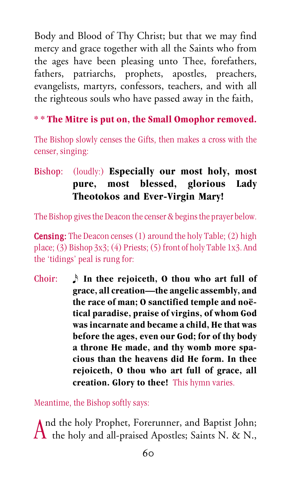Body and Blood of Thy Christ; but that we may find mercy and grace together with all the Saints who from the ages have been pleasing unto Thee, forefathers, fathers, patriarchs, prophets, apostles, preachers, evangelists, martyrs, confessors, teachers, and with all the righteous souls who have passed away in the faith,

**\* \* The Mitre is put on, the Small Omophor removed.**

The Bishop slowly censes the Gifts, then makes a cross with the censer, singing:

# Bishop: (loudly:) **Especially our most holy, most pure, most blessed, glorious Lady Theotokos and Ever-Virgin Mary!**

The Bishop gives the Deacon the censer & begins the prayer below.

**Censing:** The Deacon censes  $(1)$  around the holy Table;  $(2)$  high place; (3) Bishop 3x3; (4) Priests; (5) front of holy Table 1x3. And the 'tidings' peal is rung for:

Choir:  $\triangle$  In thee rejoiceth, 0 thou who art full of **grace, all creation—the angelic assembly, and the race of man; O sanctified temple and noëtical paradise, praise of virgins, of whom God was incarnate and became a child, He that was before the ages, even our God; for of thy body a throne He made, and thy womb more spacious than the heavens did He form. In thee rejoiceth, O thou who art full of grace, all creation. Glory to thee!** This hymn varies.

Meantime, the Bishop softly says:

And the holy Prophet, Forerunner, and Baptist John;<br>A the holy and all-praised Apostles; Saints N. & N., the holy and all-praised Apostles; Saints N. & N.,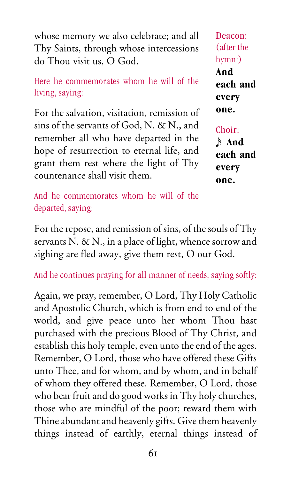whose memory we also celebrate; and all Thy Saints, through whose intercessions do Thou visit us, O God.

Here he commemorates whom he will of the living, saying:

For the salvation, visitation, remission of sins of the servants of God, N. & N., and remember all who have departed in the hope of resurrection to eternal life, and grant them rest where the light of Thy countenance shall visit them.

Deacon: (after the hymn:) **And each and every one.** Choir: x **And each and**

**every one.**

And he commemorates whom he will of the departed, saying:

For the repose, and remission of sins, of the souls of Thy servants N. & N., in a place of light, whence sorrow and sighing are fled away, give them rest, O our God.

And he continues praying for all manner of needs, saying softly:

Again, we pray, remember, O Lord, Thy Holy Catholic and Apostolic Church, which is from end to end of the world, and give peace unto her whom Thou hast purchased with the precious Blood of Thy Christ, and establish this holy temple, even unto the end of the ages. Remember, O Lord, those who have offered these Gifts unto Thee, and for whom, and by whom, and in behalf of whom they offered these. Remember, O Lord, those who bear fruit and do good works in Thy holy churches, those who are mindful of the poor; reward them with Thine abundant and heavenly gifts. Give them heavenly things instead of earthly, eternal things instead of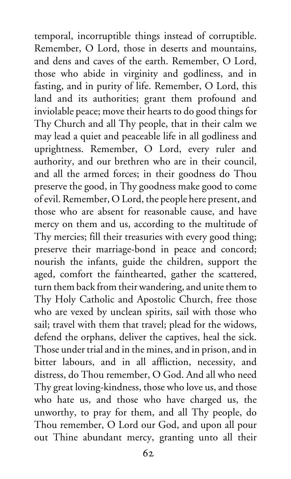temporal, incorruptible things instead of corruptible. Remember, O Lord, those in deserts and mountains, and dens and caves of the earth. Remember, O Lord, those who abide in virginity and godliness, and in fasting, and in purity of life. Remember, O Lord, this land and its authorities; grant them profound and inviolable peace; move their hearts to do good things for Thy Church and all Thy people, that in their calm we may lead a quiet and peaceable life in all godliness and uprightness. Remember, O Lord, every ruler and authority, and our brethren who are in their council, and all the armed forces; in their goodness do Thou preserve the good, in Thy goodness make good to come of evil. Remember, O Lord, the people here present, and those who are absent for reasonable cause, and have mercy on them and us, according to the multitude of Thy mercies; fill their treasuries with every good thing; preserve their marriage-bond in peace and concord; nourish the infants, guide the children, support the aged, comfort the fainthearted, gather the scattered, turn them back from their wandering, and unite them to Thy Holy Catholic and Apostolic Church, free those who are vexed by unclean spirits, sail with those who sail; travel with them that travel; plead for the widows, defend the orphans, deliver the captives, heal the sick. Those under trial and in the mines, and in prison, and in bitter labours, and in all affliction, necessity, and distress, do Thou remember, O God. And all who need Thy great loving-kindness, those who love us, and those who hate us, and those who have charged us, the unworthy, to pray for them, and all Thy people, do Thou remember, O Lord our God, and upon all pour out Thine abundant mercy, granting unto all their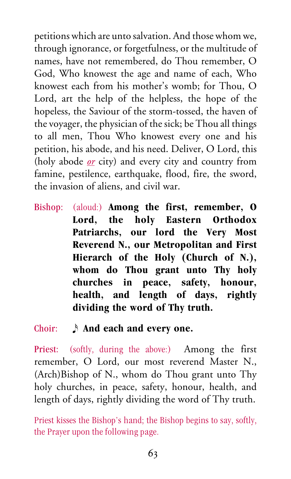petitions which are unto salvation. And those whom we, through ignorance, or forgetfulness, or the multitude of names, have not remembered, do Thou remember, O God, Who knowest the age and name of each, Who knowest each from his mother's womb; for Thou, O Lord, art the help of the helpless, the hope of the hopeless, the Saviour of the storm-tossed, the haven of the voyager, the physician of the sick; be Thou all things to all men, Thou Who knowest every one and his petition, his abode, and his need. Deliver, O Lord, this (holy abode *or* city) and every city and country from famine, pestilence, earthquake, flood, fire, the sword, the invasion of aliens, and civil war.

Bishop: (aloud:) **Among the first, remember, O Lord, the holy Eastern Orthodox Patriarchs, our lord the Very Most Reverend N., our Metropolitan and First Hierarch of the Holy (Church of N.), whom do Thou grant unto Thy holy churches in peace, safety, honour, health, and length of days, rightly dividing the word of Thy truth.**

Choir:  $\qquad \qquad$  **And each and every one.** 

Priest: (softly, during the above:) Among the first remember, O Lord, our most reverend Master N., (Arch)Bishop of N., whom do Thou grant unto Thy holy churches, in peace, safety, honour, health, and length of days, rightly dividing the word of Thy truth.

Priest kisses the Bishop's hand; the Bishop begins to say, softly, the Prayer upon the following page.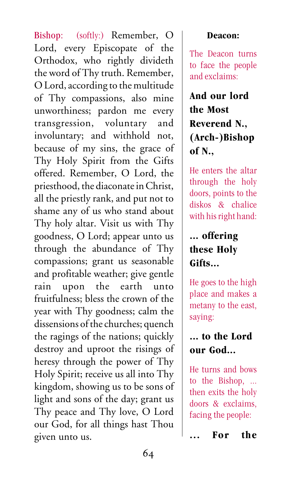Bishop: (softly:) Remember, O Lord, every Episcopate of the Orthodox, who rightly divideth the word of Thy truth. Remember, O Lord, according to the multitude of Thy compassions, also mine unworthiness; pardon me every transgression, voluntary and involuntary; and withhold not, because of my sins, the grace of Thy Holy Spirit from the Gifts offered. Remember, O Lord, the priesthood, the diaconate in Christ, all the priestly rank, and put not to shame any of us who stand about Thy holy altar. Visit us with Thy goodness, O Lord; appear unto us through the abundance of Thy compassions; grant us seasonable and profitable weather; give gentle rain upon the earth unto fruitfulness; bless the crown of the year with Thy goodness; calm the dissensions of the churches; quench the ragings of the nations; quickly destroy and uproot the risings of heresy through the power of Thy Holy Spirit; receive us all into Thy kingdom, showing us to be sons of light and sons of the day; grant us Thy peace and Thy love, O Lord our God, for all things hast Thou given unto us.

#### **Deacon:**

The Deacon turns to face the people and exclaims:

**And our lord the Most Reverend N., (Arch-)Bishop of N.,**

He enters the altar through the holy doors, points to the diskos & chalice with his right hand:

# **... offering these Holy Gifts...**

He goes to the high place and makes a metany to the east, saying:

# **... to the Lord our God...**

He turns and bows to the Bishop, ... then exits the holy doors & exclaims, facing the people:

**... For the**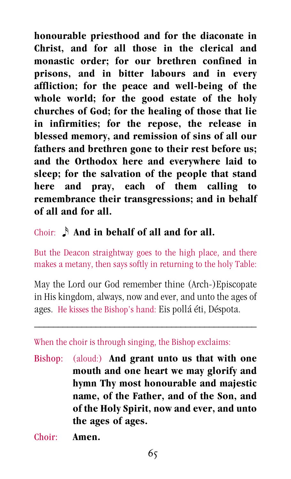**honourable priesthood and for the diaconate in Christ, and for all those in the clerical and monastic order; for our brethren confined in prisons, and in bitter labours and in every affliction; for the peace and well-being of the whole world; for the good estate of the holy churches of God; for the healing of those that lie in infirmities; for the repose, the release in blessed memory, and remission of sins of all our fathers and brethren gone to their rest before us; and the Orthodox here and everywhere laid to sleep; for the salvation of the people that stand here and pray, each of them calling to remembrance their transgressions; and in behalf of all and for all.**

## Choir:  $\triangle$  **And in behalf of all and for all.**

But the Deacon straightway goes to the high place, and there makes a metany, then says softly in returning to the holy Table:

May the Lord our God remember thine (Arch-)Episcopate in His kingdom, always, now and ever, and unto the ages of ages. He kisses the Bishop's hand: Eis pollá éti, Déspota.

When the choir is through singing, the Bishop exclaims:

Bishop: (aloud:) **And grant unto us that with one mouth and one heart we may glorify and hymn Thy most honourable and majestic name, of the Father, and of the Son, and of the Holy Spirit, now and ever, and unto the ages of ages.**

Choir: **Amen.**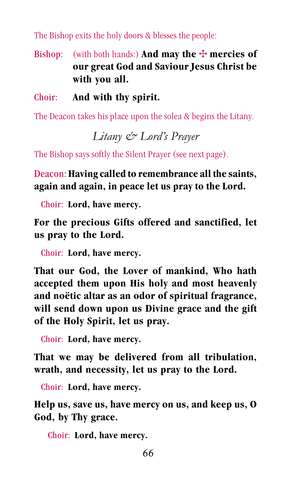The Bishop exits the holy doors & blesses the people:

Bishop: (with both hands:) **And may the**  $\pm$  **mercies of our great God and Saviour Jesus Christ be with you all.**

#### Choir: **And with thy spirit.**

The Deacon takes his place upon the solea & begins the Litany.

Litany & Lord's Prayer

The Bishop says softly the Silent Prayer (see next page).

Deacon: **Having called to remembrance all the saints, again and again, in peace let us pray to the Lord.**

Choir: **Lord, have mercy.**

**For the precious Gifts offered and sanctified, let us pray to the Lord.**

Choir: **Lord, have mercy.**

**That our God, the Lover of mankind, Who hath accepted them upon His holy and most heavenly and noëtic altar as an odor of spiritual fragrance, will send down upon us Divine grace and the gift of the Holy Spirit, let us pray.**

Choir: **Lord, have mercy.**

**That we may be delivered from all tribulation, wrath, and necessity, let us pray to the Lord.**

Choir: **Lord, have mercy.**

**Help us, save us, have mercy on us, and keep us, O God, by Thy grace.**

Choir: **Lord, have mercy.**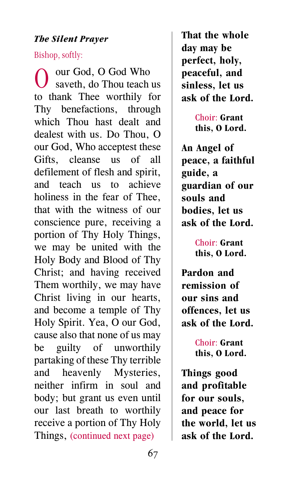#### *The Silent Prayer*

Bishop, softly:

our God, O God Who saveth, do Thou teach us to thank Thee worthily for Thy benefactions, through which Thou hast dealt and dealest with us. Do Thou, O our God, Who acceptest these Gifts, cleanse us of all defilement of flesh and spirit, and teach us to achieve holiness in the fear of Thee, that with the witness of our conscience pure, receiving a portion of Thy Holy Things, we may be united with the Holy Body and Blood of Thy Christ; and having received Them worthily, we may have Christ living in our hearts, and become a temple of Thy Holy Spirit. Yea, O our God, cause also that none of us may be guilty of unworthily partaking of these Thy terrible and heavenly Mysteries, neither infirm in soul and body; but grant us even until our last breath to worthily receive a portion of Thy Holy Things, (continued next page)

**That the whole day may be perfect, holy, peaceful, and sinless, let us ask of the Lord.**

> Choir: **Grant this, O Lord.**

**An Angel of peace, a faithful guide, a guardian of our souls and bodies, let us ask of the Lord.**

> Choir: **Grant this, O Lord.**

**Pardon and remission of our sins and offences, let us ask of the Lord.**

> Choir: **Grant this, O Lord.**

**Things good and profitable for our souls, and peace for the world, let us ask of the Lord.**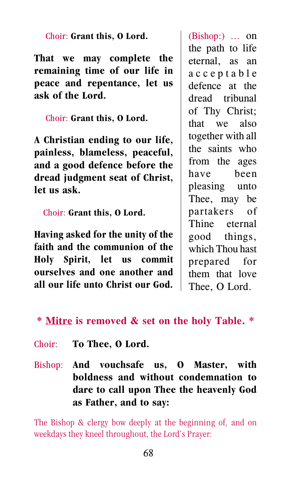#### Choir: **Grant this, O Lord.**

**That we may complete the remaining time of our life in peace and repentance, let us ask of the Lord.**

Choir: **Grant this, O Lord.**

**A Christian ending to our life, painless, blameless, peaceful, and a good defence before the dread judgment seat of Christ, let us ask.**

Choir: **Grant this, O Lord.**

**Having asked for the unity of the faith and the communion of the Holy Spirit, let us commit ourselves and one another and all our life unto Christ our God.** (Bishop:) ... on the path to life eternal, as an acceptable defence at the dread tribunal of Thy Christ; that we also together with all the saints who from the ages have been pleasing unto Thee, may be partakers of Thine eternal good things, which Thou hast prepared for them that love Thee, O Lord.

#### \* Mitre is removed & set on the holy Table. \*

Choir: **To Thee, O Lord.**

Bishop: **And vouchsafe us, O Master, with boldness and without condemnation to dare to call upon Thee the heavenly God as Father, and to say:**

The Bishop & clergy bow deeply at the beginning of, and on weekdays they kneel throughout, the Lord's Prayer: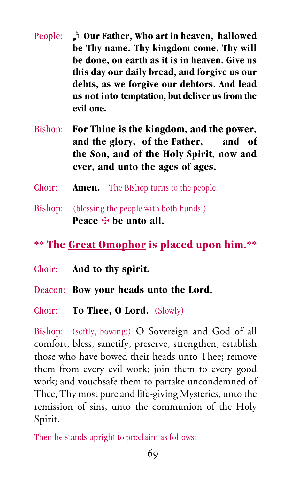- People:  $\triangle$  Our Father, Who art in heaven, hallowed **be Thy name. Thy kingdom come, Thy will be done, on earth as it is in heaven. Give us this day our daily bread, and forgive us our debts, as we forgive our debtors. And lead us not into temptation, but deliver us from the evil one.**
- Bishop: **For Thine is the kingdom, and the power, and the glory, of the Father, and of the Son, and of the Holy Spirit, now and ever, and unto the ages of ages.**
- Choir: **Amen.** The Bishop turns to the people.
- Bishop: (blessing the people with both hands:) Peace  $\pm$  be unto all.

# **\*\* The Great Omophor is placed upon him.\*\***

- Choir: **And to thy spirit.**
- Deacon: **Bow your heads unto the Lord.**
- Choir: **To Thee, O Lord.** (Slowly)

Bishop: (softly, bowing:) O Sovereign and God of all comfort, bless, sanctify, preserve, strengthen, establish those who have bowed their heads unto Thee; remove them from every evil work; join them to every good work; and vouchsafe them to partake uncondemned of Thee, Thy most pure and life-giving Mysteries, unto the remission of sins, unto the communion of the Holy Spirit.

Then he stands upright to proclaim as follows: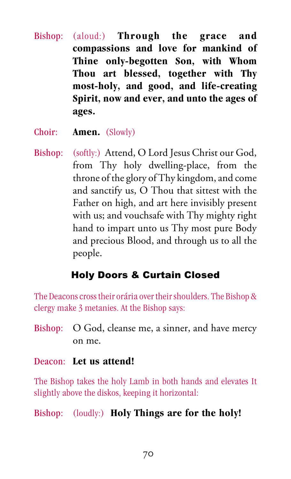- Bishop: (aloud:) **Through the grace and compassions and love for mankind of Thine only-begotten Son, with Whom Thou art blessed, together with Thy most-holy, and good, and life-creating Spirit, now and ever, and unto the ages of ages.**
- Choir: **Amen.** (Slowly)
- Bishop: (softly:) Attend, O Lord Jesus Christ our God, from Thy holy dwelling-place, from the throne of the glory of Thy kingdom, and come and sanctify us, O Thou that sittest with the Father on high, and art here invisibly present with us; and vouchsafe with Thy mighty right hand to impart unto us Thy most pure Body and precious Blood, and through us to all the people.

#### Holy Doors & Curtain Closed

The Deacons cross their orária over their shoulders. The Bishop & clergy make 3 metanies. At the Bishop says:

Bishop: O God, cleanse me, a sinner, and have mercy on me.

#### Deacon: **Let us attend!**

The Bishop takes the holy Lamb in both hands and elevates It slightly above the diskos, keeping it horizontal:

#### Bishop: (loudly:) **Holy Things are for the holy!**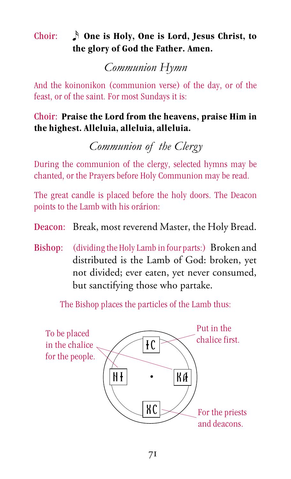## Choir:  $\triangle$  **One is Holy, One is Lord, Jesus Christ, to the glory of God the Father. Amen.**

Communion Hymn

And the koinonikon (communion verse) of the day, or of the feast, or of the saint. For most Sundays it is:

#### Choir: **Praise the Lord from the heavens, praise Him in the highest. Alleluia, alleluia, alleluia.**

Communion of the Clergy

During the communion of the clergy, selected hymns may be chanted, or the Prayers before Holy Communion may be read.

The great candle is placed before the holy doors. The Deacon points to the Lamb with his orárion:

- Deacon: Break, most reverend Master, the Holy Bread.
- Bishop: (dividing the Holy Lamb in four parts:) Broken and distributed is the Lamb of God: broken, yet not divided; ever eaten, yet never consumed, but sanctifying those who partake.

The Bishop places the particles of the Lamb thus:

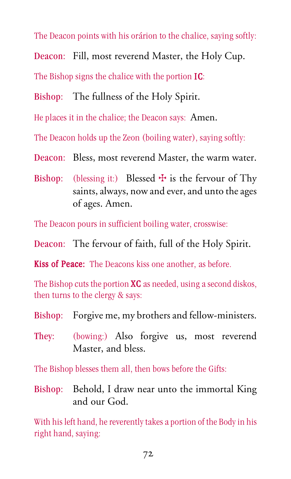The Deacon points with his orárion to the chalice, saying softly:

Deacon: Fill, most reverend Master, the Holy Cup.

The Bishop signs the chalice with the portion IC:

Bishop: The fullness of the Holy Spirit.

He places it in the chalice; the Deacon says: Amen.

The Deacon holds up the Zeon (boiling water), saying softly:

Deacon: Bless, most reverend Master, the warm water.

Bishop: (blessing it:) Blessed  $\pm$  is the fervour of Thy saints, always, now and ever, and unto the ages of ages. Amen.

The Deacon pours in sufficient boiling water, crosswise:

Deacon: The fervour of faith, full of the Holy Spirit.

Kiss of Peace: The Deacons kiss one another, as before.

The Bishop cuts the portion XC as needed, using a second diskos, then turns to the clergy & says:

|       | Bishop: Forgive me, my brothers and fellow-ministers.    |                                          |
|-------|----------------------------------------------------------|------------------------------------------|
| They: | Master, and bless.                                       | (bowing:) Also forgive us, most reverend |
|       | The Bishop blesses them all, then bows before the Gifts: |                                          |

Bishop: Behold, I draw near unto the immortal King and our God.

With his left hand, he reverently takes a portion of the Body in his right hand, saying: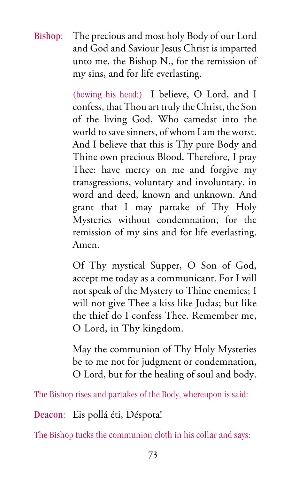Bishop: The precious and most holy Body of our Lord and God and Saviour Jesus Christ is imparted unto me, the Bishop N., for the remission of my sins, and for life everlasting.

> (bowing his head:) I believe, O Lord, and I confess, that Thou art truly the Christ, the Son of the living God, Who camedst into the world to save sinners, of whom I am the worst. And I believe that this is Thy pure Body and Thine own precious Blood. Therefore, I pray Thee: have mercy on me and forgive my transgressions, voluntary and involuntary, in word and deed, known and unknown. And grant that I may partake of Thy Holy Mysteries without condemnation, for the remission of my sins and for life everlasting. Amen.

> Of Thy mystical Supper, O Son of God, accept me today as a communicant. For I will not speak of the Mystery to Thine enemies; I will not give Thee a kiss like Judas; but like the thief do I confess Thee. Remember me, O Lord, in Thy kingdom.

> May the communion of Thy Holy Mysteries be to me not for judgment or condemnation, O Lord, but for the healing of soul and body.

The Bishop rises and partakes of the Body, whereupon is said:

Deacon: Eis pollá éti, Déspota!

The Bishop tucks the communion cloth in his collar and says: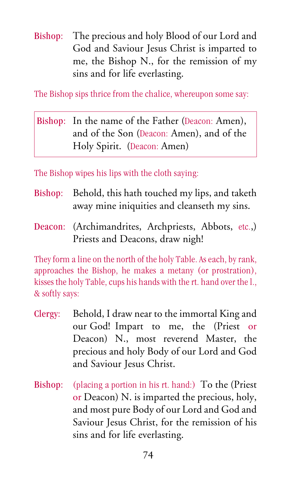Bishop: The precious and holy Blood of our Lord and God and Saviour Jesus Christ is imparted to me, the Bishop N., for the remission of my sins and for life everlasting.

The Bishop sips thrice from the chalice, whereupon some say:

|  | Bishop: In the name of the Father (Deacon: Amen),<br>and of the Son (Deacon: Amen), and of the |  |
|--|------------------------------------------------------------------------------------------------|--|
|  |                                                                                                |  |
|  | Holy Spirit. (Deacon: Amen)                                                                    |  |

The Bishop wipes his lips with the cloth saying:

- Bishop: Behold, this hath touched my lips, and taketh away mine iniquities and cleanseth my sins.
- Deacon: (Archimandrites, Archpriests, Abbots, etc.,) Priests and Deacons, draw nigh!

They form a line on the north of the holy Table. As each, by rank, approaches the Bishop, he makes a metany (or prostration), kisses the holy Table, cups his hands with the rt. hand over the l., & softly says:

- Clergy: Behold, I draw near to the immortal King and our God! Impart to me, the (Priest or Deacon) N., most reverend Master, the precious and holy Body of our Lord and God and Saviour Jesus Christ.
- Bishop: (placing a portion in his rt. hand:) To the (Priest) or Deacon) N. is imparted the precious, holy, and most pure Body of our Lord and God and Saviour Jesus Christ, for the remission of his sins and for life everlasting.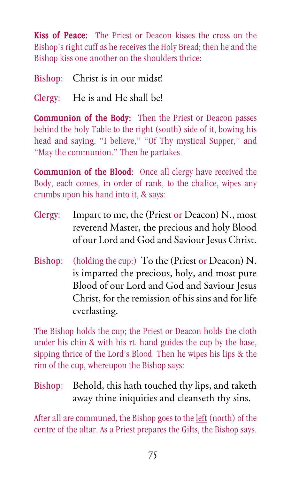Kiss of Peace: The Priest or Deacon kisses the cross on the Bishop's right cuff as he receives the Holy Bread; then he and the Bishop kiss one another on the shoulders thrice:

Bishop: Christ is in our midst!

Clergy: He is and He shall be!

**Communion of the Body:** Then the Priest or Deacon passes behind the holy Table to the right (south) side of it, bowing his head and saying, "I believe," "Of Thy mystical Supper," and "May the communion." Then he partakes.

**Communion of the Blood:** Once all clergy have received the Body, each comes, in order of rank, to the chalice, wipes any crumbs upon his hand into it, & says:

- Clergy: Impart to me, the (Priest or Deacon) N., most reverend Master, the precious and holy Blood of our Lord and God and Saviour Jesus Christ.
- Bishop: (holding the cup:) To the (Priest or Deacon) N. is imparted the precious, holy, and most pure Blood of our Lord and God and Saviour Jesus Christ, for the remission of his sins and for life everlasting.

The Bishop holds the cup; the Priest or Deacon holds the cloth under his chin & with his rt. hand guides the cup by the base, sipping thrice of the Lord's Blood. Then he wipes his lips & the rim of the cup, whereupon the Bishop says:

## Bishop: Behold, this hath touched thy lips, and taketh away thine iniquities and cleanseth thy sins.

After all are communed, the Bishop goes to the left (north) of the centre of the altar. As a Priest prepares the Gifts, the Bishop says.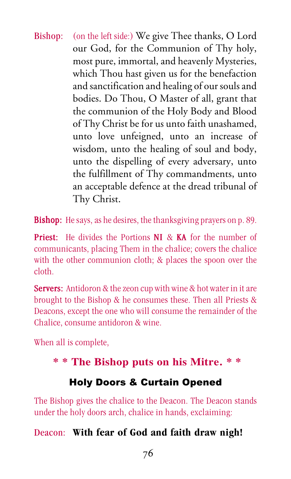Bishop: (on the left side:) We give Thee thanks, O Lord our God, for the Communion of Thy holy, most pure, immortal, and heavenly Mysteries, which Thou hast given us for the benefaction and sanctification and healing of our souls and bodies. Do Thou, O Master of all, grant that the communion of the Holy Body and Blood of Thy Christ be for us unto faith unashamed, unto love unfeigned, unto an increase of wisdom, unto the healing of soul and body, unto the dispelling of every adversary, unto the fulfillment of Thy commandments, unto an acceptable defence at the dread tribunal of Thy Christ.

Bishop: Bishop: He says, as he desires, the thanksgiving prayers on p. 89.

**Priest:** He divides the Portions NI & KA for the number of communicants, placing Them in the chalice; covers the chalice with the other communion cloth; & places the spoon over the cloth.

**Servers:** Antidoron & the zeon cup with wine  $\&$  hot water in it are brought to the Bishop & he consumes these. Then all Priests & Deacons, except the one who will consume the remainder of the Chalice, consume antidoron & wine.

When all is complete,

## \* \* The Bishop puts on his Mitre. \* \*

## Holy Doors & Curtain Opened

The Bishop gives the chalice to the Deacon. The Deacon stands under the holy doors arch, chalice in hands, exclaiming:

## Deacon: **With fear of God and faith draw nigh!**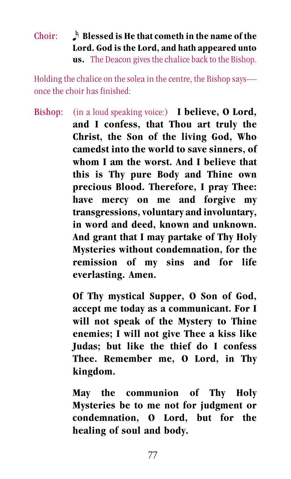#### Choir:  $\qquad \qquad$ **Blessed is He that cometh in the name of the Lord. God is the Lord, and hath appeared unto us.** The Deacon gives the chalice back to the Bishop.

Holding the chalice on the solea in the centre, the Bishop says once the choir has finished:

Bishop: (in a loud speaking voice:) **I believe, O Lord, and I confess, that Thou art truly the Christ, the Son of the living God, Who camedst into the world to save sinners, of whom I am the worst. And I believe that this is Thy pure Body and Thine own precious Blood. Therefore, I pray Thee: have mercy on me and forgive my transgressions, voluntary and involuntary, in word and deed, known and unknown. And grant that I may partake of Thy Holy Mysteries without condemnation, for the remission of my sins and for life everlasting. Amen.**

> **Of Thy mystical Supper, O Son of God, accept me today as a communicant. For I will not speak of the Mystery to Thine enemies; I will not give Thee a kiss like Judas; but like the thief do I confess Thee. Remember me, O Lord, in Thy kingdom.**

> **May the communion of Thy Holy Mysteries be to me not for judgment or condemnation, O Lord, but for the healing of soul and body.**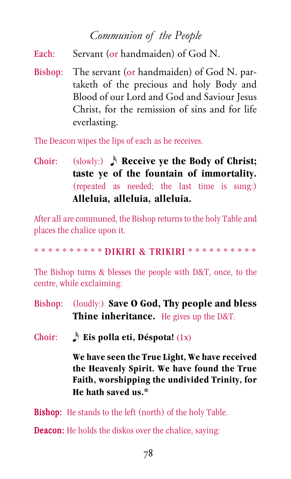## Communion of the People

Each: Servant (or handmaiden) of God N.

Bishop: The servant (or handmaiden) of God N. partaketh of the precious and holy Body and Blood of our Lord and God and Saviour Jesus Christ, for the remission of sins and for life everlasting.

The Deacon wipes the lips of each as he receives.

Choir: (slowly:) **A Receive ye the Body of Christ; taste ye of the fountain of immortality.** (repeated as needed; the last time is sung:) **Alleluia, alleluia, alleluia.**

After all are communed, the Bishop returns to the holy Table and places the chalice upon it.

\* \* \* \* \* \* \* \* \* \* DIKIRI & TRIKIRI \* \* \* \* \* \* \* \* \* \* \*

The Bishop turns & blesses the people with D&T, once, to the centre, while exclaiming:

|        | Bishop: (loudly:) Save O God, Thy people and bless<br><b>Thine inheritance.</b> He gives up the D&T.                                                                |  |
|--------|---------------------------------------------------------------------------------------------------------------------------------------------------------------------|--|
| Choir: | $\triangle$ Eis polla eti, Déspota! (1x)                                                                                                                            |  |
|        | We have seen the True Light, We have received<br>the Heavenly Spirit. We have found the True<br>Faith, worshipping the undivided Trinity, for<br>He hath saved us.* |  |
|        | <b>Bishop:</b> He stands to the left (north) of the holy Table.                                                                                                     |  |

**Deacon:** He holds the diskos over the chalice, saying: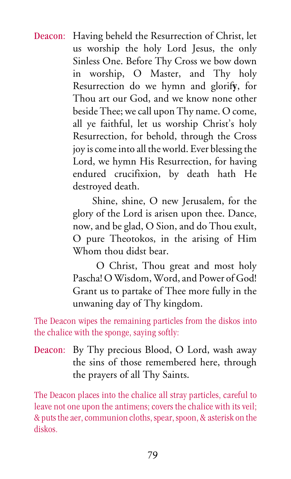Deacon: Having beheld the Resurrection of Christ, let us worship the holy Lord Jesus, the only Sinless One. Before Thy Cross we bow down in worship, O Master, and Thy holy Resurrection do we hymn and glorif**y**, for Thou art our God, and we know none other beside Thee; we call upon Thy name. O come, all ye faithful, let us worship Christ's holy Resurrection, for behold, through the Cross joy is come into all the world. Ever blessing the Lord, we hymn His Resurrection, for having endured crucifixion, by death hath He destroyed death.

> Shine, shine, O new Jerusalem, for the glory of the Lord is arisen upon thee. Dance, now, and be glad, O Sion, and do Thou exult, O pure Theotokos, in the arising of Him Whom thou didst bear.

> O Christ, Thou great and most holy Pascha! O Wisdom, Word, and Power of God! Grant us to partake of Thee more fully in the unwaning day of Thy kingdom.

The Deacon wipes the remaining particles from the diskos into the chalice with the sponge, saying softly:

Deacon: By Thy precious Blood, O Lord, wash away the sins of those remembered here, through the prayers of all Thy Saints.

The Deacon places into the chalice all stray particles, careful to leave not one upon the antimens; covers the chalice with its veil; & puts the aer, communion cloths, spear, spoon, & asterisk on the diskos.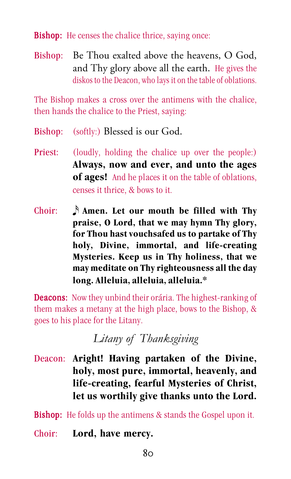**Bishop:** He censes the chalice thrice, saying once:

Bishop: Be Thou exalted above the heavens, O God, and Thy glory above all the earth. He gives the diskos to the Deacon, who lays it on the table of oblations.

The Bishop makes a cross over the antimens with the chalice, then hands the chalice to the Priest, saying:

Bishop: (softly:) Blessed is our God.

- Priest: (loudly, holding the chalice up over the people:) **Always, now and ever, and unto the ages of ages!** And he places it on the table of oblations, censes it thrice, & bows to it.
- Choir:  $\triangle$  Amen. Let our mouth be filled with Thy **praise, O Lord, that we may hymn Thy glory, for Thou hast vouchsafed us to partake of Thy holy, Divine, immortal, and life-creating Mysteries. Keep us in Thy holiness, that we may meditate on Thy righteousness all the day long. Alleluia, alleluia, alleluia.\***

Deacons: Now they unbind their orária. The highest-ranking of them makes a metany at the high place, bows to the Bishop, & goes to his place for the Litany.

Litany of Thanksgiving

Deacon: **Aright! Having partaken of the Divine, holy, most pure, immortal, heavenly, and life-creating, fearful Mysteries of Christ, let us worthily give thanks unto the Lord.**

**Bishop:** He folds up the antimens & stands the Gospel upon it.

Choir: **Lord, have mercy.**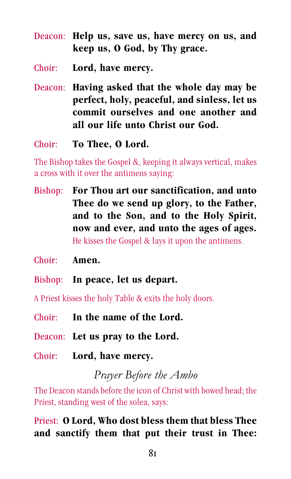- Deacon: **Help us, save us, have mercy on us, and keep us, O God, by Thy grace.**
- Choir: **Lord, have mercy.**
- Deacon: **Having asked that the whole day may be perfect, holy, peaceful, and sinless, let us commit ourselves and one another and all our life unto Christ our God.**

Choir: **To Thee, O Lord.**

The Bishop takes the Gospel &, keeping it always vertical, makes a cross with it over the antimens saying:

- Bishop: **For Thou art our sanctification, and unto Thee do we send up glory, to the Father, and to the Son, and to the Holy Spirit, now and ever, and unto the ages of ages.** He kisses the Gospel & lays it upon the antimens.
- Choir: **Amen.**
- Bishop: **In peace, let us depart.**

A Priest kisses the holy Table & exits the holy doors.

- Choir: **In the name of the Lord.**
- Deacon: **Let us pray to the Lord.**
- Choir: **Lord, have mercy.**

## Prayer Before the Ambo

The Deacon stands before the icon of Christ with bowed head; the Priest, standing west of the solea, says:

#### Priest: **O Lord, Who dost bless them that bless Thee and sanctify them that put their trust in Thee:**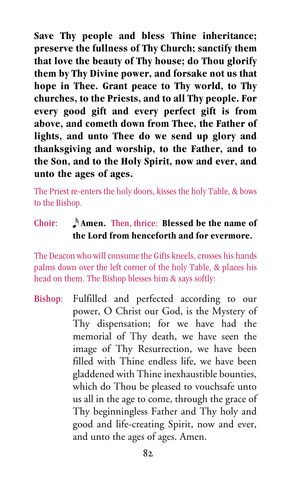**Save Thy people and bless Thine inheritance; preserve the fullness of Thy Church; sanctify them that love the beauty of Thy house; do Thou glorify them by Thy Divine power, and forsake not us that hope in Thee. Grant peace to Thy world, to Thy churches, to the Priests, and to all Thy people. For every good gift and every perfect gift is from above, and cometh down from Thee, the Father of lights, and unto Thee do we send up glory and thanksgiving and worship, to the Father, and to the Son, and to the Holy Spirit, now and ever, and unto the ages of ages.**

The Priest re-enters the holy doors, kisses the holy Table, & bows to the Bishop.

## Choir: x **Amen.** Then, thrice: **Blessed be the name of the Lord from henceforth and for evermore.**

The Deacon who will consume the Gifts kneels, crosses his hands palms down over the left corner of the holy Table, & places his head on them. The Bishop blesses him & says softly:

Bishop: Fulfilled and perfected according to our power, O Christ our God, is the Mystery of Thy dispensation; for we have had the memorial of Thy death, we have seen the image of Thy Resurrection, we have been filled with Thine endless life, we have been gladdened with Thine inexhaustible bounties, which do Thou be pleased to vouchsafe unto us all in the age to come, through the grace of Thy beginningless Father and Thy holy and good and life-creating Spirit, now and ever, and unto the ages of ages. Amen.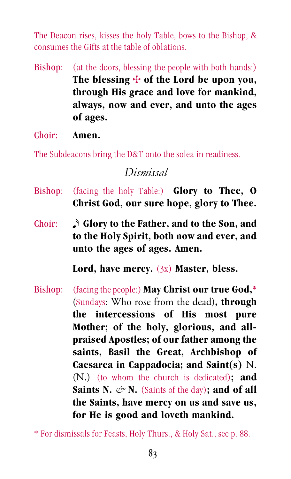The Deacon rises, kisses the holy Table, bows to the Bishop, & consumes the Gifts at the table of oblations.

- Bishop: (at the doors, blessing the people with both hands:) The blessing  $\pm$  of the Lord be upon you, **through His grace and love for mankind, always, now and ever, and unto the ages of ages.**
- Choir: **Amen.**

The Subdeacons bring the D&T onto the solea in readiness.

## Dismissal

- Bishop: (facing the holy Table:) **Glory to Thee, O Christ God, our sure hope, glory to Thee.**
- Choir: x **Glory to the Father, and to the Son, and to the Holy Spirit, both now and ever, and unto the ages of ages. Amen.**

**Lord, have mercy.** (3x) **Master, bless.**

Bishop: (facing the people:) **May Christ our true God,**\* (Sundays: Who rose from the dead)**, through the intercessions of His most pure Mother; of the holy, glorious, and allpraised Apostles; of our father among the saints, Basil the Great, Archbishop of Caesarea in Cappadocia; and Saint(s)** N. (N.) (to whom the church is dedicated)**; and** Saints N.  $\mathcal{O} \times N$ . (Saints of the day); and of all **the Saints, have mercy on us and save us, for He is good and loveth mankind.**

\* For dismissals for Feasts, Holy Thurs., & Holy Sat., see p. 88.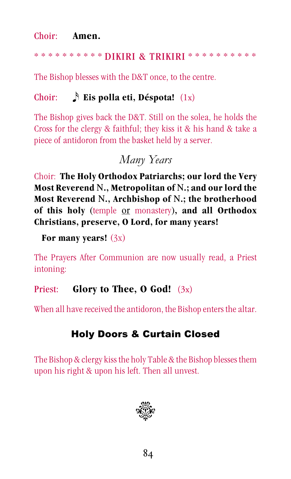#### Choir: **Amen.**

#### \* \* \* \* \* \* \* \* \* \* DIKIRI & TRIKIRI \* \* \* \* \* \* \* \* \* \*

The Bishop blesses with the D&T once, to the centre.

### Choir: **Social Eis polla eti, Déspota!** (1x)

The Bishop gives back the D&T. Still on the solea, he holds the Cross for the clergy & faithful; they kiss it & his hand & take a piece of antidoron from the basket held by a server.

## Many Years

Choir: **The Holy Orthodox Patriarchs; our lord the Very Most Reverend** N**., Metropolitan of** N**.; and our lord the Most Reverend** N**., Archbishop of** N**.; the brotherhood of this holy** (temple or monastery)**, and all Orthodox Christians, preserve, O Lord, for many years!**

**For many years!** (3x)

The Prayers After Communion are now usually read, a Priest intoning:

#### Priest: **Glory to Thee, O God!** (3x)

When all have received the antidoron, the Bishop enters the altar.

## Holy Doors & Curtain Closed

The Bishop & clergy kiss the holy Table & the Bishop blesses them upon his right & upon his left. Then all unvest.

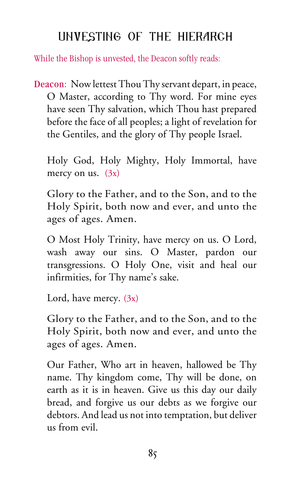# UNVESTING OF THE HIERARCH

While the Bishop is unvested, the Deacon softly reads:

Deacon:Now lettest Thou Thy servant depart, in peace, O Master, according to Thy word. For mine eyes have seen Thy salvation, which Thou hast prepared before the face of all peoples; a light of revelation for the Gentiles, and the glory of Thy people Israel.

Holy God, Holy Mighty, Holy Immortal, have mercy on us.  $(3x)$ 

Glory to the Father, and to the Son, and to the Holy Spirit, both now and ever, and unto the ages of ages. Amen.

O Most Holy Trinity, have mercy on us. O Lord, wash away our sins. O Master, pardon our transgressions. O Holy One, visit and heal our infirmities, for Thy name's sake.

Lord, have mercy. (3x)

Glory to the Father, and to the Son, and to the Holy Spirit, both now and ever, and unto the ages of ages. Amen.

Our Father, Who art in heaven, hallowed be Thy name. Thy kingdom come, Thy will be done, on earth as it is in heaven. Give us this day our daily bread, and forgive us our debts as we forgive our debtors. And lead us not into temptation, but deliver us from evil.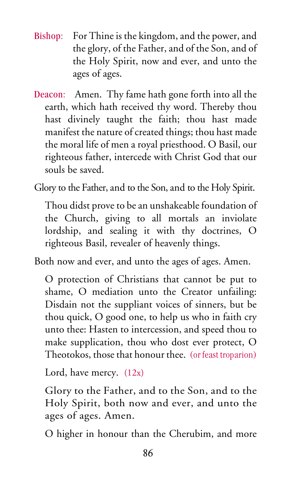- Bishop: For Thine is the kingdom, and the power, and the glory, of the Father, and of the Son, and of the Holy Spirit, now and ever, and unto the ages of ages.
- Deacon: Amen. Thy fame hath gone forth into all the earth, which hath received thy word. Thereby thou hast divinely taught the faith; thou hast made manifest the nature of created things; thou hast made the moral life of men a royal priesthood. O Basil, our righteous father, intercede with Christ God that our souls be saved.

Glory to the Father, and to the Son, and to the Holy Spirit.

Thou didst prove to be an unshakeable foundation of the Church, giving to all mortals an inviolate lordship, and sealing it with thy doctrines, O righteous Basil, revealer of heavenly things.

Both now and ever, and unto the ages of ages. Amen.

O protection of Christians that cannot be put to shame, O mediation unto the Creator unfailing: Disdain not the suppliant voices of sinners, but be thou quick, O good one, to help us who in faith cry unto thee: Hasten to intercession, and speed thou to make supplication, thou who dost ever protect, O Theotokos, those that honour thee. (or feast troparion)

Lord, have mercy. (12x)

Glory to the Father, and to the Son, and to the Holy Spirit, both now and ever, and unto the ages of ages. Amen.

O higher in honour than the Cherubim, and more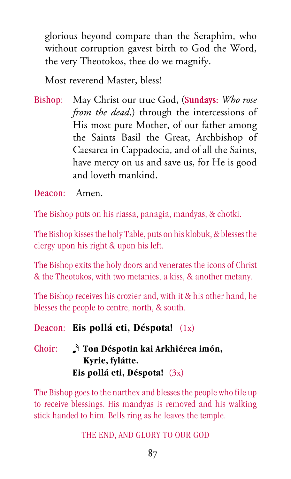glorious beyond compare than the Seraphim, who without corruption gavest birth to God the Word, the very Theotokos, thee do we magnify.

Most reverend Master, bless!

Bishop: May Christ our true God, (Sundays: Who rose *from the dead*,) through the intercessions of His most pure Mother, of our father among the Saints Basil the Great, Archbishop of Caesarea in Cappadocia, and of all the Saints, have mercy on us and save us, for He is good and loveth mankind.

Deacon: Amen.

The Bishop puts on his riassa, panagia, mandyas, & chotki.

The Bishop kisses the holy Table, puts on his klobuk, & blesses the clergy upon his right & upon his left.

The Bishop exits the holy doors and venerates the icons of Christ & the Theotokos, with two metanies, a kiss, & another metany.

The Bishop receives his crozier and, with it & his other hand, he blesses the people to centre, north, & south.

### Deacon: **Eis pollá eti, Déspota!** (1x)

Choir: *N* Ton Déspotin kai Arkhiérea imón, **Kyrie, fylátte. Eis pollá eti, Déspota!** (3x)

The Bishop goes to the narthex and blesses the people who file up to receive blessings. His mandyas is removed and his walking stick handed to him. Bells ring as he leaves the temple.

THE END, AND GLORY TO OUR GOD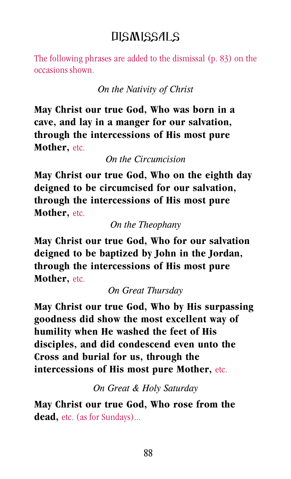# **DISMISSALS**

The following phrases are added to the dismissal (p. 83) on the occasions shown.

On the Nativity of Christ

**May Christ our true God, Who was born in a cave, and lay in a manger for our salvation, through the intercessions of His most pure Mother,** etc.

On the Circumcision

**May Christ our true God, Who on the eighth day deigned to be circumcised for our salvation, through the intercessions of His most pure Mother,** etc.

On the Theophany

**May Christ our true God, Who for our salvation deigned to be baptized by John in the Jordan, through the intercessions of His most pure Mother,** etc.

On Great Thursday

**May Christ our true God, Who by His surpassing goodness did show the most excellent way of humility when He washed the feet of His disciples, and did condescend even unto the Cross and burial for us, through the intercessions of His most pure Mother,** etc.

On Great & Holy Saturday

**May Christ our true God, Who rose from the** dead, etc. (as for Sundays)...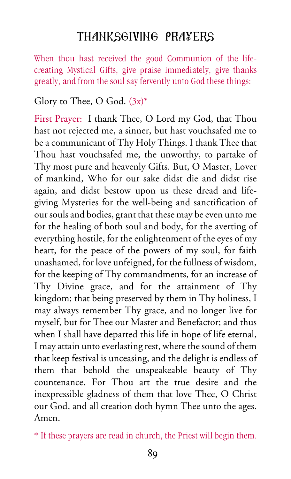## THANKSGIVING PRAYERS

When thou hast received the good Communion of the lifecreating Mystical Gifts, give praise immediately, give thanks greatly, and from the soul say fervently unto God these things:

Glory to Thee, O God. (3x)\*

First Prayer: I thank Thee, O Lord my God, that Thou hast not rejected me, a sinner, but hast vouchsafed me to be a communicant of Thy Holy Things. I thank Thee that Thou hast vouchsafed me, the unworthy, to partake of Thy most pure and heavenly Gifts. But, O Master, Lover of mankind, Who for our sake didst die and didst rise again, and didst bestow upon us these dread and lifegiving Mysteries for the well-being and sanctification of our souls and bodies, grant that these may be even unto me for the healing of both soul and body, for the averting of everything hostile, for the enlightenment of the eyes of my heart, for the peace of the powers of my soul, for faith unashamed, for love unfeigned, for the fullness of wisdom, for the keeping of Thy commandments, for an increase of Thy Divine grace, and for the attainment of Thy kingdom; that being preserved by them in Thy holiness, I may always remember Thy grace, and no longer live for myself, but for Thee our Master and Benefactor; and thus when I shall have departed this life in hope of life eternal, I may attain unto everlasting rest, where the sound of them that keep festival is unceasing, and the delight is endless of them that behold the unspeakeable beauty of Thy countenance. For Thou art the true desire and the inexpressible gladness of them that love Thee, O Christ our God, and all creation doth hymn Thee unto the ages. Amen.

<sup>\*</sup> If these prayers are read in church, the Priest will begin them.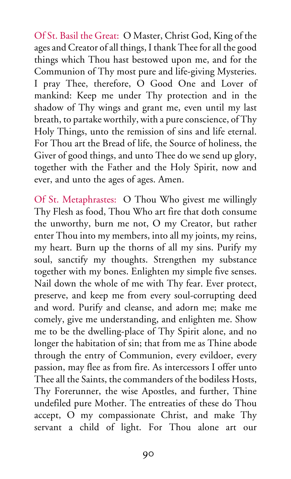Of St. Basil the Great: O Master, Christ God, King of the ages and Creator of all things, I thank Thee for all the good things which Thou hast bestowed upon me, and for the Communion of Thy most pure and life-giving Mysteries. I pray Thee, therefore, O Good One and Lover of mankind: Keep me under Thy protection and in the shadow of Thy wings and grant me, even until my last breath, to partake worthily, with a pure conscience, of Thy Holy Things, unto the remission of sins and life eternal. For Thou art the Bread of life, the Source of holiness, the Giver of good things, and unto Thee do we send up glory, together with the Father and the Holy Spirit, now and ever, and unto the ages of ages. Amen.

Of St. Metaphrastes: O Thou Who givest me willingly Thy Flesh as food, Thou Who art fire that doth consume the unworthy, burn me not, O my Creator, but rather enter Thou into my members, into all my joints, my reins, my heart. Burn up the thorns of all my sins. Purify my soul, sanctify my thoughts. Strengthen my substance together with my bones. Enlighten my simple five senses. Nail down the whole of me with Thy fear. Ever protect, preserve, and keep me from every soul-corrupting deed and word. Purify and cleanse, and adorn me; make me comely, give me understanding, and enlighten me. Show me to be the dwelling-place of Thy Spirit alone, and no longer the habitation of sin; that from me as Thine abode through the entry of Communion, every evildoer, every passion, may flee as from fire. As intercessors I offer unto Thee all the Saints, the commanders of the bodiless Hosts, Thy Forerunner, the wise Apostles, and further, Thine undefiled pure Mother. The entreaties of these do Thou accept, O my compassionate Christ, and make Thy servant a child of light. For Thou alone art our